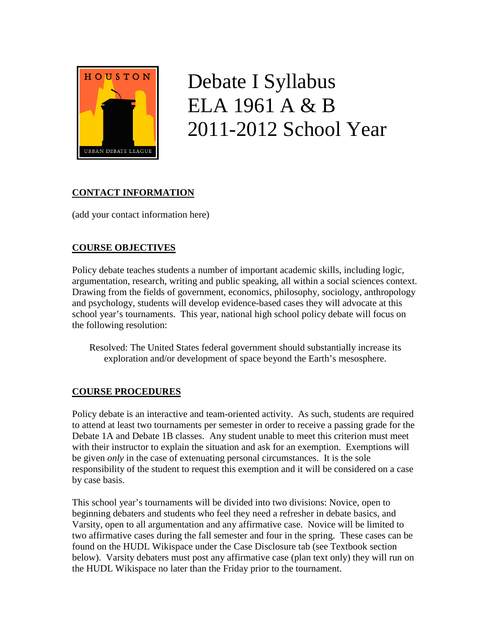

# Debate I Syllabus ELA 1961 A & B 2011-2012 School Year

## **CONTACT INFORMATION**

(add your contact information here)

## **COURSE OBJECTIVES**

Policy debate teaches students a number of important academic skills, including logic, argumentation, research, writing and public speaking, all within a social sciences context. Drawing from the fields of government, economics, philosophy, sociology, anthropology and psychology, students will develop evidence-based cases they will advocate at this school year's tournaments. This year, national high school policy debate will focus on the following resolution:

Resolved: The United States federal government should substantially increase its exploration and/or development of space beyond the Earth's mesosphere.

## **COURSE PROCEDURES**

Policy debate is an interactive and team-oriented activity. As such, students are required to attend at least two tournaments per semester in order to receive a passing grade for the Debate 1A and Debate 1B classes. Any student unable to meet this criterion must meet with their instructor to explain the situation and ask for an exemption. Exemptions will be given *only* in the case of extenuating personal circumstances. It is the sole responsibility of the student to request this exemption and it will be considered on a case by case basis.

This school year's tournaments will be divided into two divisions: Novice, open to beginning debaters and students who feel they need a refresher in debate basics, and Varsity, open to all argumentation and any affirmative case. Novice will be limited to two affirmative cases during the fall semester and four in the spring. These cases can be found on the HUDL Wikispace under the Case Disclosure tab (see Textbook section below). Varsity debaters must post any affirmative case (plan text only) they will run on the HUDL Wikispace no later than the Friday prior to the tournament.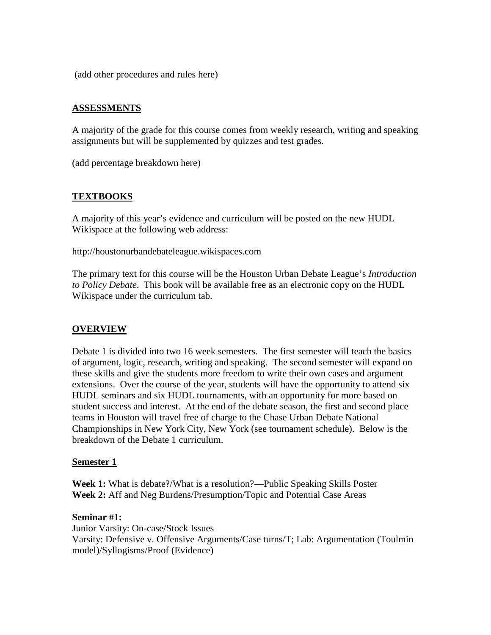(add other procedures and rules here)

#### **ASSESSMENTS**

A majority of the grade for this course comes from weekly research, writing and speaking assignments but will be supplemented by quizzes and test grades.

(add percentage breakdown here)

#### **TEXTBOOKS**

A majority of this year's evidence and curriculum will be posted on the new HUDL Wikispace at the following web address:

http://houstonurbandebateleague.wikispaces.com

The primary text for this course will be the Houston Urban Debate League's *Introduction to Policy Debate*. This book will be available free as an electronic copy on the HUDL Wikispace under the curriculum tab.

#### **OVERVIEW**

Debate 1 is divided into two 16 week semesters. The first semester will teach the basics of argument, logic, research, writing and speaking. The second semester will expand on these skills and give the students more freedom to write their own cases and argument extensions. Over the course of the year, students will have the opportunity to attend six HUDL seminars and six HUDL tournaments, with an opportunity for more based on student success and interest. At the end of the debate season, the first and second place teams in Houston will travel free of charge to the Chase Urban Debate National Championships in New York City, New York (see tournament schedule). Below is the breakdown of the Debate 1 curriculum.

#### **Semester 1**

**Week 1:** What is debate?/What is a resolution?—Public Speaking Skills Poster **Week 2:** Aff and Neg Burdens/Presumption/Topic and Potential Case Areas

#### **Seminar #1:**

Junior Varsity: On-case/Stock Issues Varsity: Defensive v. Offensive Arguments/Case turns/T; Lab: Argumentation (Toulmin model)/Syllogisms/Proof (Evidence)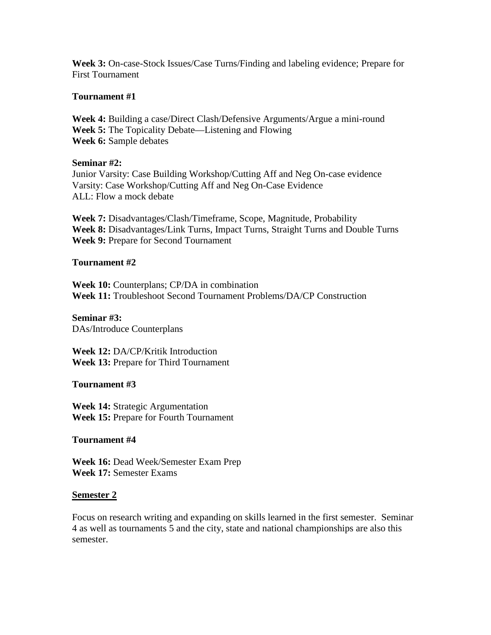**Week 3:** On-case-Stock Issues/Case Turns/Finding and labeling evidence; Prepare for First Tournament

#### **Tournament #1**

**Week 4:** Building a case/Direct Clash/Defensive Arguments/Argue a mini-round **Week 5:** The Topicality Debate—Listening and Flowing **Week 6:** Sample debates

#### **Seminar #2:**

Junior Varsity: Case Building Workshop/Cutting Aff and Neg On-case evidence Varsity: Case Workshop/Cutting Aff and Neg On-Case Evidence ALL: Flow a mock debate

**Week 7:** Disadvantages/Clash/Timeframe, Scope, Magnitude, Probability **Week 8:** Disadvantages/Link Turns, Impact Turns, Straight Turns and Double Turns **Week 9:** Prepare for Second Tournament

#### **Tournament #2**

**Week 10:** Counterplans; CP/DA in combination **Week 11:** Troubleshoot Second Tournament Problems/DA/CP Construction

**Seminar #3:**  DAs/Introduce Counterplans

**Week 12:** DA/CP/Kritik Introduction **Week 13:** Prepare for Third Tournament

#### **Tournament #3**

**Week 14:** Strategic Argumentation **Week 15:** Prepare for Fourth Tournament

#### **Tournament #4**

**Week 16:** Dead Week/Semester Exam Prep **Week 17:** Semester Exams

#### **Semester 2**

Focus on research writing and expanding on skills learned in the first semester. Seminar 4 as well as tournaments 5 and the city, state and national championships are also this semester.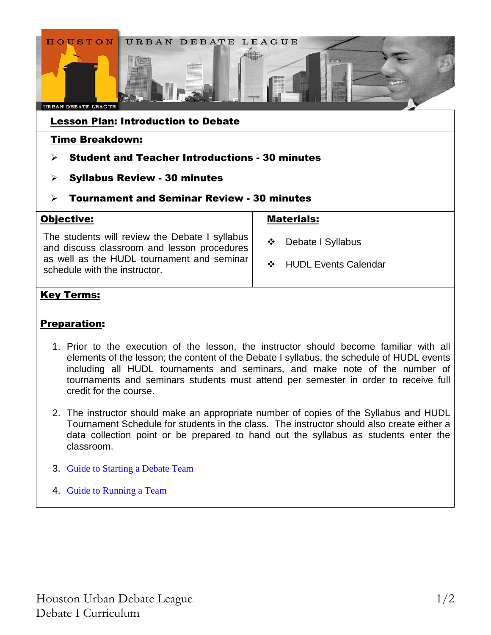

## Key Terms:

## Preparation:

- 1. Prior to the execution of the lesson, the instructor should become familiar with all elements of the lesson; the content of the Debate I syllabus, the schedule of HUDL events including all HUDL tournaments and seminars, and make note of the number of tournaments and seminars students must attend per semester in order to receive full credit for the course.
- 2. The instructor should make an appropriate number of copies of the Syllabus and HUDL Tournament Schedule for students in the class. The instructor should also create either a data collection point or be prepared to hand out the syllabus as students enter the classroom.
- 3. Guide to Starting a Debate Team
- 4. Guide to Running a Team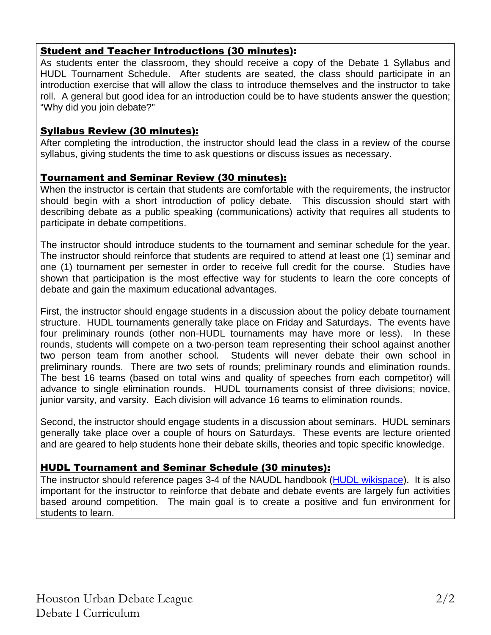## Student and Teacher Introductions (30 minutes):

As students enter the classroom, they should receive a copy of the Debate 1 Syllabus and HUDL Tournament Schedule. After students are seated, the class should participate in an introduction exercise that will allow the class to introduce themselves and the instructor to take roll. A general but good idea for an introduction could be to have students answer the question; "Why did you join debate?"

## Syllabus Review (30 minutes):

After completing the introduction, the instructor should lead the class in a review of the course syllabus, giving students the time to ask questions or discuss issues as necessary.

## Tournament and Seminar Review (30 minutes):

When the instructor is certain that students are comfortable with the requirements, the instructor should begin with a short introduction of policy debate. This discussion should start with describing debate as a public speaking (communications) activity that requires all students to participate in debate competitions.

The instructor should introduce students to the tournament and seminar schedule for the year. The instructor should reinforce that students are required to attend at least one (1) seminar and one (1) tournament per semester in order to receive full credit for the course. Studies have shown that participation is the most effective way for students to learn the core concepts of debate and gain the maximum educational advantages.

First, the instructor should engage students in a discussion about the policy debate tournament structure. HUDL tournaments generally take place on Friday and Saturdays. The events have four preliminary rounds (other non-HUDL tournaments may have more or less). In these rounds, students will compete on a two-person team representing their school against another two person team from another school. Students will never debate their own school in preliminary rounds. There are two sets of rounds; preliminary rounds and elimination rounds. The best 16 teams (based on total wins and quality of speeches from each competitor) will advance to single elimination rounds. HUDL tournaments consist of three divisions; novice, junior varsity, and varsity. Each division will advance 16 teams to elimination rounds.

Second, the instructor should engage students in a discussion about seminars. HUDL seminars generally take place over a couple of hours on Saturdays. These events are lecture oriented and are geared to help students hone their debate skills, theories and topic specific knowledge.

## HUDL Tournament and Seminar Schedule (30 minutes):

The instructor should reference pages 3-4 of the NAUDL handbook (HUDL wikispace). It is also important for the instructor to reinforce that debate and debate events are largely fun activities based around competition. The main goal is to create a positive and fun environment for students to learn.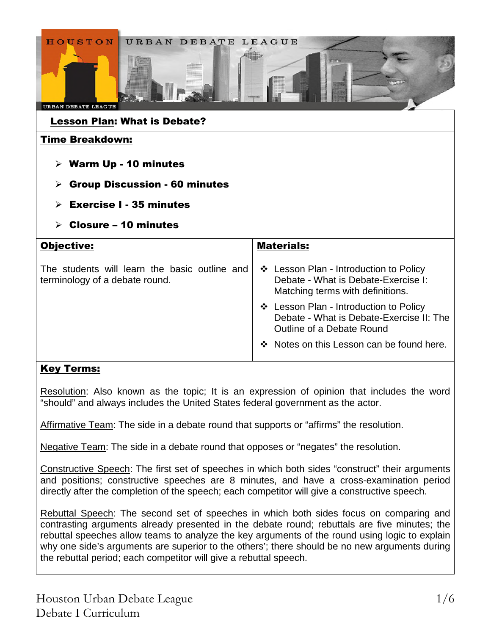| URBAN DEBATE LEAGUE<br><b>HOUSTON</b><br>URBAN DEBATE LEAGUE<br><b>Lesson Plan: What is Debate?</b>                                                                    |                                                                                                                   |  |
|------------------------------------------------------------------------------------------------------------------------------------------------------------------------|-------------------------------------------------------------------------------------------------------------------|--|
| <b>Time Breakdown:</b><br>$\triangleright$ Warm Up - 10 minutes<br><b>Group Discussion - 60 minutes</b><br>➤<br><b>Exercise I - 35 minutes</b><br>Closure – 10 minutes |                                                                                                                   |  |
| Objective:                                                                                                                                                             | <b>Materials:</b>                                                                                                 |  |
| The students will learn the basic outline and<br>terminology of a debate round.                                                                                        | ❖ Lesson Plan - Introduction to Policy<br>Debate - What is Debate-Exercise I:<br>Matching terms with definitions. |  |
|                                                                                                                                                                        | ❖ Lesson Plan - Introduction to Policy<br>Debate - What is Debate-Exercise II: The<br>Outline of a Debate Round   |  |
|                                                                                                                                                                        | Notes on this Lesson can be found here.                                                                           |  |

## Key Terms:

Resolution: Also known as the topic; It is an expression of opinion that includes the word "should" and always includes the United States federal government as the actor.

Affirmative Team: The side in a debate round that supports or "affirms" the resolution.

Negative Team: The side in a debate round that opposes or "negates" the resolution.

Constructive Speech: The first set of speeches in which both sides "construct" their arguments and positions; constructive speeches are 8 minutes, and have a cross-examination period directly after the completion of the speech; each competitor will give a constructive speech.

Rebuttal Speech: The second set of speeches in which both sides focus on comparing and contrasting arguments already presented in the debate round; rebuttals are five minutes; the rebuttal speeches allow teams to analyze the key arguments of the round using logic to explain why one side's arguments are superior to the others'; there should be no new arguments during the rebuttal period; each competitor will give a rebuttal speech.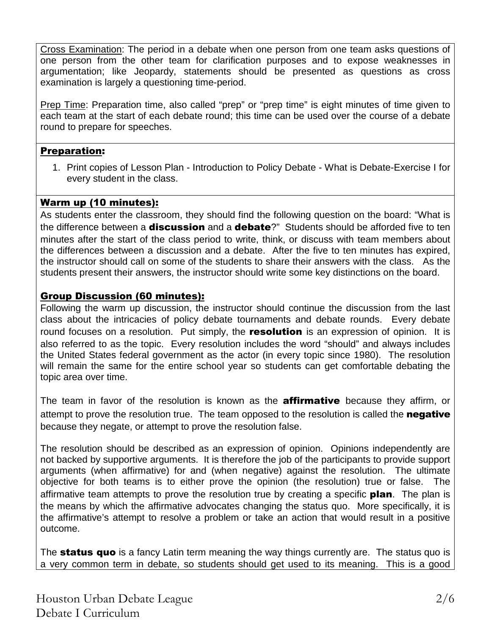Cross Examination: The period in a debate when one person from one team asks questions of one person from the other team for clarification purposes and to expose weaknesses in argumentation; like Jeopardy, statements should be presented as questions as cross examination is largely a questioning time-period.

Prep Time: Preparation time, also called "prep" or "prep time" is eight minutes of time given to each team at the start of each debate round; this time can be used over the course of a debate round to prepare for speeches.

## Preparation:

1. Print copies of Lesson Plan - Introduction to Policy Debate - What is Debate-Exercise I for every student in the class.

## Warm up (10 minutes):

As students enter the classroom, they should find the following question on the board: "What is the difference between a **discussion** and a **debate**?" Students should be afforded five to ten minutes after the start of the class period to write, think, or discuss with team members about the differences between a discussion and a debate. After the five to ten minutes has expired, the instructor should call on some of the students to share their answers with the class. As the students present their answers, the instructor should write some key distinctions on the board.

## Group Discussion (60 minutes):

Following the warm up discussion, the instructor should continue the discussion from the last class about the intricacies of policy debate tournaments and debate rounds. Every debate round focuses on a resolution. Put simply, the resolution is an expression of opinion. It is also referred to as the topic. Every resolution includes the word "should" and always includes the United States federal government as the actor (in every topic since 1980). The resolution will remain the same for the entire school year so students can get comfortable debating the topic area over time.

The team in favor of the resolution is known as the **affirmative** because they affirm, or attempt to prove the resolution true. The team opposed to the resolution is called the negative because they negate, or attempt to prove the resolution false.

The resolution should be described as an expression of opinion. Opinions independently are not backed by supportive arguments. It is therefore the job of the participants to provide support arguments (when affirmative) for and (when negative) against the resolution. The ultimate objective for both teams is to either prove the opinion (the resolution) true or false. The affirmative team attempts to prove the resolution true by creating a specific **plan**. The plan is the means by which the affirmative advocates changing the status quo. More specifically, it is the affirmative's attempt to resolve a problem or take an action that would result in a positive outcome.

The **status quo** is a fancy Latin term meaning the way things currently are. The status quo is a very common term in debate, so students should get used to its meaning. This is a good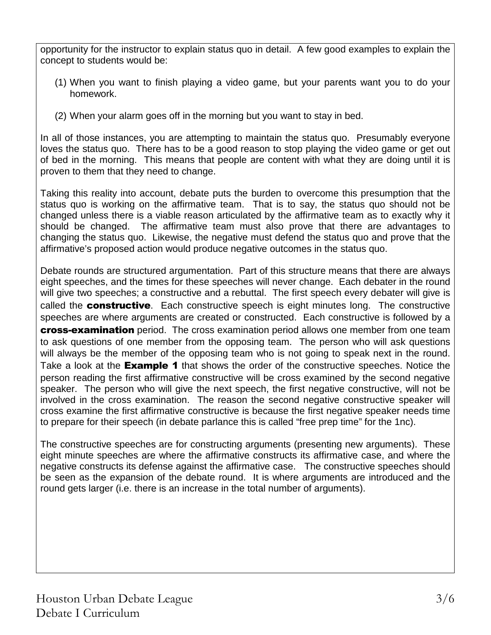opportunity for the instructor to explain status quo in detail. A few good examples to explain the concept to students would be:

- (1) When you want to finish playing a video game, but your parents want you to do your homework.
- (2) When your alarm goes off in the morning but you want to stay in bed.

In all of those instances, you are attempting to maintain the status quo. Presumably everyone loves the status quo. There has to be a good reason to stop playing the video game or get out of bed in the morning. This means that people are content with what they are doing until it is proven to them that they need to change.

Taking this reality into account, debate puts the burden to overcome this presumption that the status quo is working on the affirmative team. That is to say, the status quo should not be changed unless there is a viable reason articulated by the affirmative team as to exactly why it should be changed. The affirmative team must also prove that there are advantages to changing the status quo. Likewise, the negative must defend the status quo and prove that the affirmative's proposed action would produce negative outcomes in the status quo.

Debate rounds are structured argumentation. Part of this structure means that there are always eight speeches, and the times for these speeches will never change. Each debater in the round will give two speeches; a constructive and a rebuttal. The first speech every debater will give is called the **constructive**. Each constructive speech is eight minutes long. The constructive speeches are where arguments are created or constructed. Each constructive is followed by a **cross-examination** period. The cross examination period allows one member from one team to ask questions of one member from the opposing team. The person who will ask questions will always be the member of the opposing team who is not going to speak next in the round. Take a look at the **Example 1** that shows the order of the constructive speeches. Notice the person reading the first affirmative constructive will be cross examined by the second negative speaker. The person who will give the next speech, the first negative constructive, will not be involved in the cross examination. The reason the second negative constructive speaker will cross examine the first affirmative constructive is because the first negative speaker needs time to prepare for their speech (in debate parlance this is called "free prep time" for the 1nc).

The constructive speeches are for constructing arguments (presenting new arguments). These eight minute speeches are where the affirmative constructs its affirmative case, and where the negative constructs its defense against the affirmative case. The constructive speeches should be seen as the expansion of the debate round. It is where arguments are introduced and the round gets larger (i.e. there is an increase in the total number of arguments).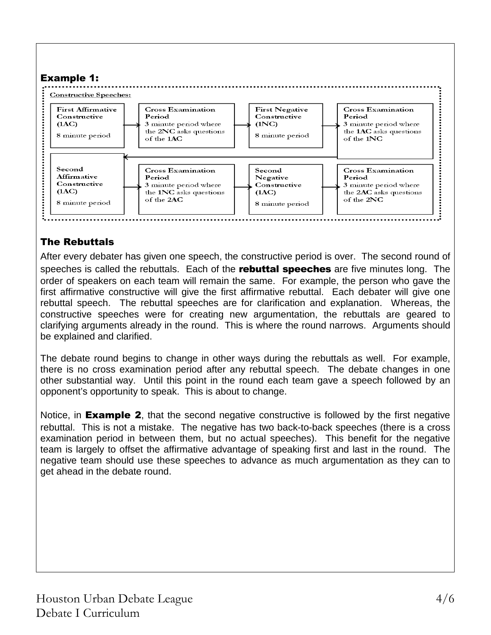

## The Rebuttals

After every debater has given one speech, the constructive period is over. The second round of speeches is called the rebuttals. Each of the rebuttal speeches are five minutes long. The order of speakers on each team will remain the same. For example, the person who gave the first affirmative constructive will give the first affirmative rebuttal. Each debater will give one rebuttal speech. The rebuttal speeches are for clarification and explanation. Whereas, the constructive speeches were for creating new argumentation, the rebuttals are geared to clarifying arguments already in the round. This is where the round narrows. Arguments should be explained and clarified.

The debate round begins to change in other ways during the rebuttals as well. For example, there is no cross examination period after any rebuttal speech. The debate changes in one other substantial way. Until this point in the round each team gave a speech followed by an opponent's opportunity to speak. This is about to change.

Notice, in **Example 2**, that the second negative constructive is followed by the first negative rebuttal. This is not a mistake. The negative has two back-to-back speeches (there is a cross examination period in between them, but no actual speeches). This benefit for the negative team is largely to offset the affirmative advantage of speaking first and last in the round. The negative team should use these speeches to advance as much argumentation as they can to get ahead in the debate round.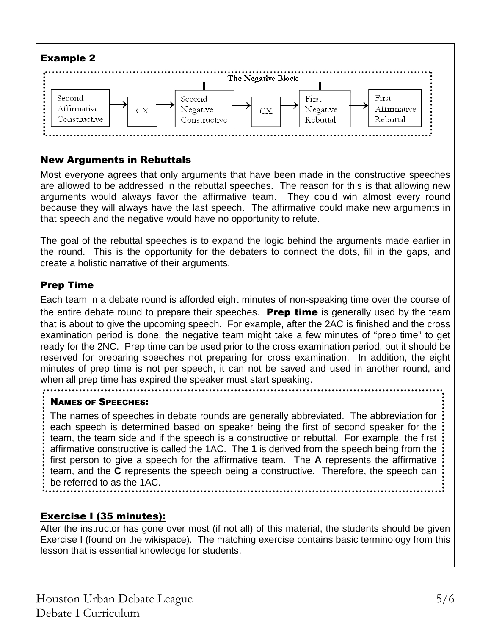

## New Arguments in Rebuttals

Most everyone agrees that only arguments that have been made in the constructive speeches are allowed to be addressed in the rebuttal speeches. The reason for this is that allowing new arguments would always favor the affirmative team. They could win almost every round because they will always have the last speech. The affirmative could make new arguments in that speech and the negative would have no opportunity to refute.

The goal of the rebuttal speeches is to expand the logic behind the arguments made earlier in the round. This is the opportunity for the debaters to connect the dots, fill in the gaps, and create a holistic narrative of their arguments.

## Prep Time

Each team in a debate round is afforded eight minutes of non-speaking time over the course of the entire debate round to prepare their speeches. **Prep time** is generally used by the team that is about to give the upcoming speech. For example, after the 2AC is finished and the cross examination period is done, the negative team might take a few minutes of "prep time" to get ready for the 2NC. Prep time can be used prior to the cross examination period, but it should be reserved for preparing speeches not preparing for cross examination. In addition, the eight minutes of prep time is not per speech, it can not be saved and used in another round, and when all prep time has expired the speaker must start speaking.

## NAMES OF SPEECHES:

The names of speeches in debate rounds are generally abbreviated. The abbreviation for each speech is determined based on speaker being the first of second speaker for the team, the team side and if the speech is a constructive or rebuttal. For example, the first affirmative constructive is called the 1AC. The **1** is derived from the speech being from the first person to give a speech for the affirmative team. The **A** represents the affirmative team, and the **C** represents the speech being a constructive. Therefore, the speech can be referred to as the 1AC.

## Exercise I (35 minutes):

After the instructor has gone over most (if not all) of this material, the students should be given Exercise I (found on the wikispace). The matching exercise contains basic terminology from this lesson that is essential knowledge for students.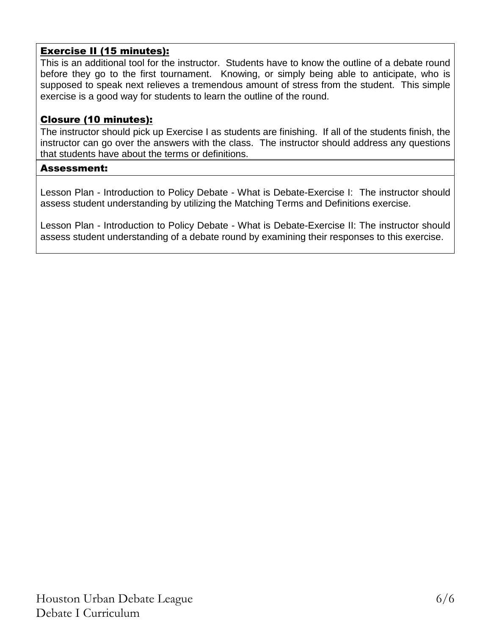## Exercise II (15 minutes):

This is an additional tool for the instructor. Students have to know the outline of a debate round before they go to the first tournament. Knowing, or simply being able to anticipate, who is supposed to speak next relieves a tremendous amount of stress from the student. This simple exercise is a good way for students to learn the outline of the round.

## Closure (10 minutes):

The instructor should pick up Exercise I as students are finishing. If all of the students finish, the instructor can go over the answers with the class. The instructor should address any questions that students have about the terms or definitions.

#### Assessment:

Lesson Plan - Introduction to Policy Debate - What is Debate-Exercise I: The instructor should assess student understanding by utilizing the Matching Terms and Definitions exercise.

Lesson Plan - Introduction to Policy Debate - What is Debate-Exercise II: The instructor should assess student understanding of a debate round by examining their responses to this exercise.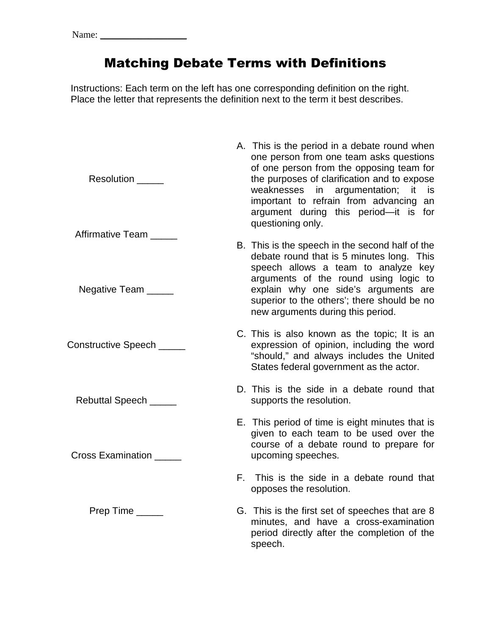## Matching Debate Terms with Definitions

Instructions: Each term on the left has one corresponding definition on the right. Place the letter that represents the definition next to the term it best describes.

A. This is the period in a debate round when

Resolution **EXECUTE:** Affirmative Team Negative Team \_\_\_\_\_ Constructive Speech \_\_\_\_\_ Rebuttal Speech \_\_\_\_\_ Cross Examination Prep Time one person from one team asks questions of one person from the opposing team for the purposes of clarification and to expose weaknesses in argumentation; it is important to refrain from advancing an argument during this period—it is for questioning only. B. This is the speech in the second half of the debate round that is 5 minutes long. This speech allows a team to analyze key arguments of the round using logic to explain why one side's arguments are superior to the others'; there should be no new arguments during this period. C. This is also known as the topic; It is an expression of opinion, including the word "should," and always includes the United States federal government as the actor. D. This is the side in a debate round that supports the resolution. E. This period of time is eight minutes that is given to each team to be used over the course of a debate round to prepare for upcoming speeches. F. This is the side in a debate round that opposes the resolution. G. This is the first set of speeches that are 8 minutes, and have a cross-examination period directly after the completion of the speech.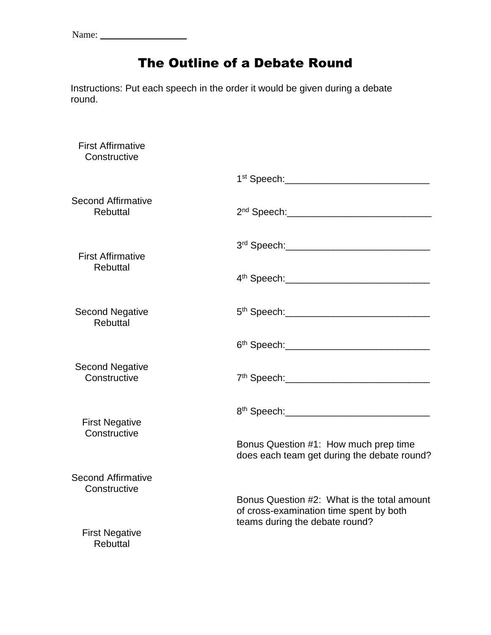Name: \_\_\_\_\_\_\_\_\_\_\_\_\_\_\_\_\_\_

## The Outline of a Debate Round

Instructions: Put each speech in the order it would be given during a debate round.

| <b>First Affirmative</b><br>Constructive  |                                                                                                                          |
|-------------------------------------------|--------------------------------------------------------------------------------------------------------------------------|
|                                           |                                                                                                                          |
| <b>Second Affirmative</b><br>Rebuttal     |                                                                                                                          |
| <b>First Affirmative</b>                  |                                                                                                                          |
| Rebuttal                                  |                                                                                                                          |
| <b>Second Negative</b><br>Rebuttal        |                                                                                                                          |
|                                           |                                                                                                                          |
| <b>Second Negative</b><br>Constructive    |                                                                                                                          |
| <b>First Negative</b>                     |                                                                                                                          |
| Constructive                              | Bonus Question #1: How much prep time<br>does each team get during the debate round?                                     |
| <b>Second Affirmative</b><br>Constructive |                                                                                                                          |
|                                           | Bonus Question #2: What is the total amount<br>of cross-examination time spent by both<br>teams during the debate round? |
| <b>First Negative</b><br><b>Rebuttal</b>  |                                                                                                                          |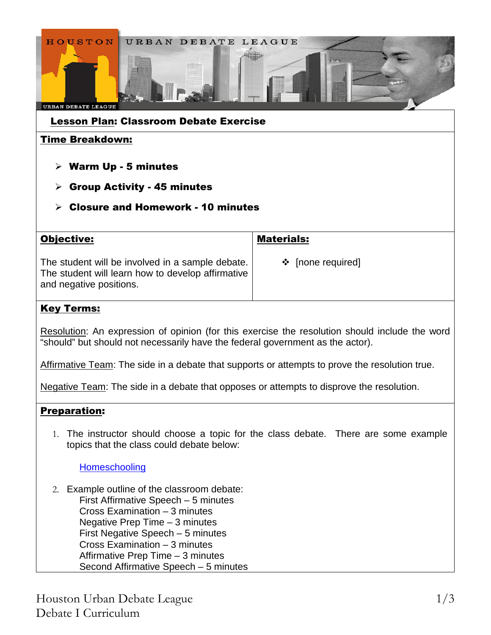

| The student will be involved in a sample debate.<br>The student will learn how to develop affirmative<br>and negative positions. | ❖ [none required] |
|----------------------------------------------------------------------------------------------------------------------------------|-------------------|
|                                                                                                                                  |                   |

## Key Terms:

Resolution: An expression of opinion (for this exercise the resolution should include the word "should" but should not necessarily have the federal government as the actor).

Affirmative Team: The side in a debate that supports or attempts to prove the resolution true.

Negative Team: The side in a debate that opposes or attempts to disprove the resolution.

## Preparation:

1. The instructor should choose a topic for the class debate. There are some example topics that the class could debate below:

## **Homeschooling**

2. Example outline of the classroom debate: First Affirmative Speech – 5 minutes Cross Examination – 3 minutes Negative Prep Time – 3 minutes First Negative Speech – 5 minutes Cross Examination – 3 minutes Affirmative Prep Time – 3 minutes Second Affirmative Speech – 5 minutes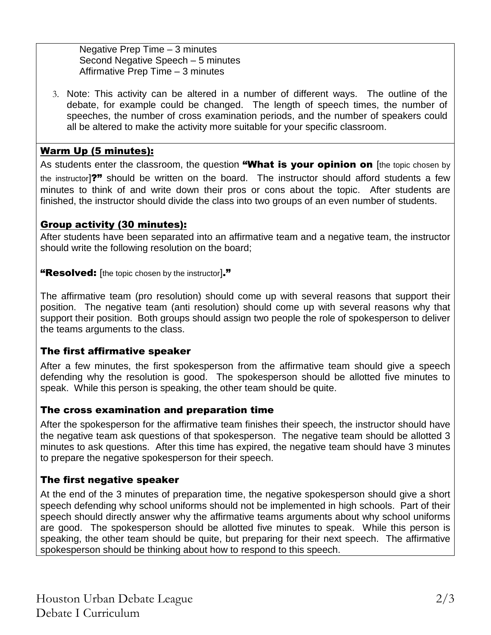Negative Prep Time – 3 minutes Second Negative Speech – 5 minutes Affirmative Prep Time – 3 minutes

3. Note: This activity can be altered in a number of different ways. The outline of the debate, for example could be changed. The length of speech times, the number of speeches, the number of cross examination periods, and the number of speakers could all be altered to make the activity more suitable for your specific classroom.

## Warm Up (5 minutes):

As students enter the classroom, the question "What is your opinion on [the topic chosen by the instructor]?" should be written on the board. The instructor should afford students a few minutes to think of and write down their pros or cons about the topic. After students are finished, the instructor should divide the class into two groups of an even number of students.

## Group activity (30 minutes):

After students have been separated into an affirmative team and a negative team, the instructor should write the following resolution on the board;

"Resolved: [the topic chosen by the instructor]."

The affirmative team (pro resolution) should come up with several reasons that support their position. The negative team (anti resolution) should come up with several reasons why that support their position. Both groups should assign two people the role of spokesperson to deliver the teams arguments to the class.

## The first affirmative speaker

After a few minutes, the first spokesperson from the affirmative team should give a speech defending why the resolution is good. The spokesperson should be allotted five minutes to speak. While this person is speaking, the other team should be quite.

## The cross examination and preparation time

After the spokesperson for the affirmative team finishes their speech, the instructor should have the negative team ask questions of that spokesperson. The negative team should be allotted 3 minutes to ask questions. After this time has expired, the negative team should have 3 minutes to prepare the negative spokesperson for their speech.

## The first negative speaker

At the end of the 3 minutes of preparation time, the negative spokesperson should give a short speech defending why school uniforms should not be implemented in high schools. Part of their speech should directly answer why the affirmative teams arguments about why school uniforms are good. The spokesperson should be allotted five minutes to speak. While this person is speaking, the other team should be quite, but preparing for their next speech. The affirmative spokesperson should be thinking about how to respond to this speech.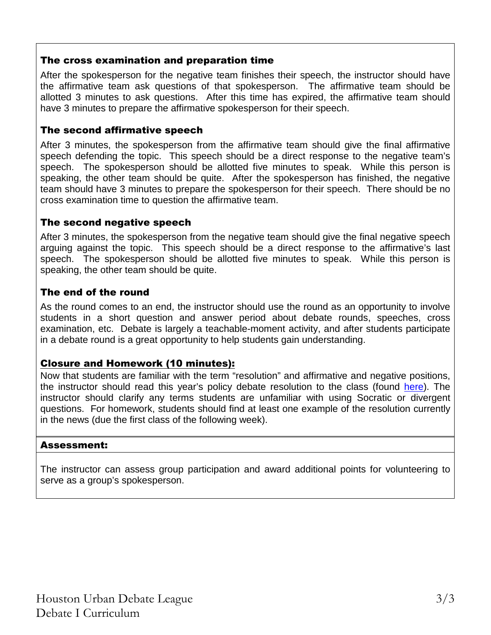## The cross examination and preparation time

After the spokesperson for the negative team finishes their speech, the instructor should have the affirmative team ask questions of that spokesperson. The affirmative team should be allotted 3 minutes to ask questions. After this time has expired, the affirmative team should have 3 minutes to prepare the affirmative spokesperson for their speech.

## The second affirmative speech

After 3 minutes, the spokesperson from the affirmative team should give the final affirmative speech defending the topic. This speech should be a direct response to the negative team's speech. The spokesperson should be allotted five minutes to speak. While this person is speaking, the other team should be quite. After the spokesperson has finished, the negative team should have 3 minutes to prepare the spokesperson for their speech. There should be no cross examination time to question the affirmative team.

## The second negative speech

After 3 minutes, the spokesperson from the negative team should give the final negative speech arguing against the topic. This speech should be a direct response to the affirmative's last speech. The spokesperson should be allotted five minutes to speak. While this person is speaking, the other team should be quite.

## The end of the round

As the round comes to an end, the instructor should use the round as an opportunity to involve students in a short question and answer period about debate rounds, speeches, cross examination, etc. Debate is largely a teachable-moment activity, and after students participate in a debate round is a great opportunity to help students gain understanding.

## Closure and Homework (10 minutes):

Now that students are familiar with the term "resolution" and affirmative and negative positions, the instructor should read this year's policy debate resolution to the class (found here). The instructor should clarify any terms students are unfamiliar with using Socratic or divergent questions. For homework, students should find at least one example of the resolution currently in the news (due the first class of the following week).

## Assessment:

The instructor can assess group participation and award additional points for volunteering to serve as a group's spokesperson.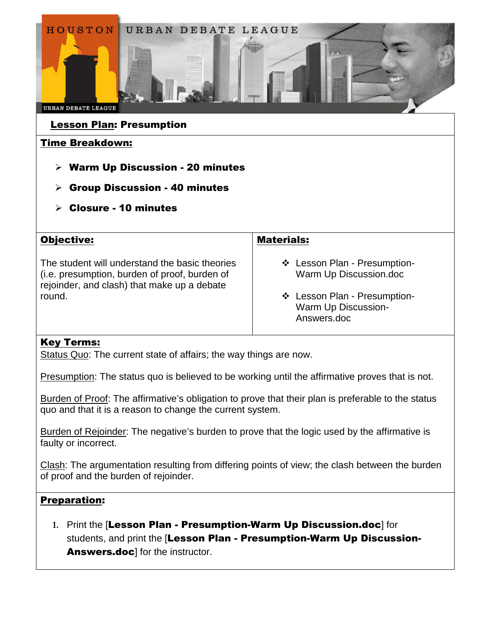

## Lesson Plan: Presumption

## Time Breakdown:

- $\triangleright$  Warm Up Discussion 20 minutes
- $\triangleright$  Group Discussion 40 minutes
- $\triangleright$  Closure 10 minutes

| <b>Objective:</b>                                                                                                                              | <b>Materials:</b>                                                  |
|------------------------------------------------------------------------------------------------------------------------------------------------|--------------------------------------------------------------------|
| The student will understand the basic theories<br>(i.e. presumption, burden of proof, burden of<br>rejoinder, and clash) that make up a debate | ❖ Lesson Plan - Presumption-<br>Warm Up Discussion.doc             |
| round.                                                                                                                                         | ❖ Lesson Plan - Presumption-<br>Warm Up Discussion-<br>Answers.doc |

## Key Terms:

Status Quo: The current state of affairs; the way things are now.

Presumption: The status quo is believed to be working until the affirmative proves that is not.

Burden of Proof: The affirmative's obligation to prove that their plan is preferable to the status quo and that it is a reason to change the current system.

Burden of Rejoinder: The negative's burden to prove that the logic used by the affirmative is faulty or incorrect.

Clash: The argumentation resulting from differing points of view; the clash between the burden of proof and the burden of rejoinder.

## Preparation:

**1.** Print the [Lesson Plan - Presumption-Warm Up Discussion.doc] for students, and print the [Lesson Plan - Presumption-Warm Up Discussion-Answers.doc] for the instructor.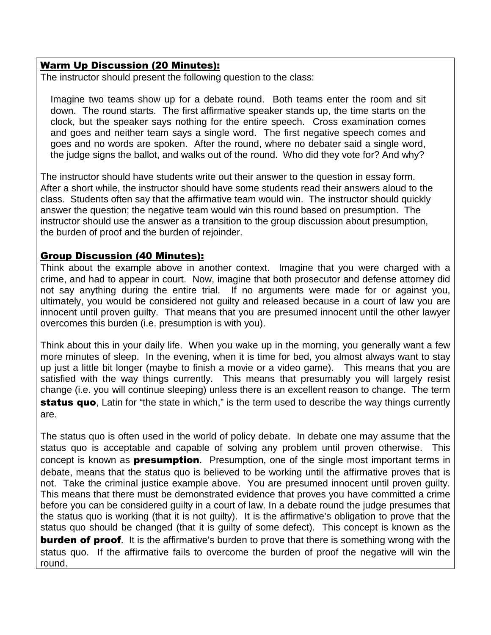## Warm Up Discussion (20 Minutes):

The instructor should present the following question to the class:

Imagine two teams show up for a debate round. Both teams enter the room and sit down. The round starts. The first affirmative speaker stands up, the time starts on the clock, but the speaker says nothing for the entire speech. Cross examination comes and goes and neither team says a single word. The first negative speech comes and goes and no words are spoken. After the round, where no debater said a single word, the judge signs the ballot, and walks out of the round. Who did they vote for? And why?

The instructor should have students write out their answer to the question in essay form. After a short while, the instructor should have some students read their answers aloud to the class. Students often say that the affirmative team would win. The instructor should quickly answer the question; the negative team would win this round based on presumption. The instructor should use the answer as a transition to the group discussion about presumption, the burden of proof and the burden of rejoinder.

## Group Discussion (40 Minutes):

Think about the example above in another context. Imagine that you were charged with a crime, and had to appear in court. Now, imagine that both prosecutor and defense attorney did not say anything during the entire trial. If no arguments were made for or against you, ultimately, you would be considered not guilty and released because in a court of law you are innocent until proven guilty. That means that you are presumed innocent until the other lawyer overcomes this burden (i.e. presumption is with you).

Think about this in your daily life. When you wake up in the morning, you generally want a few more minutes of sleep. In the evening, when it is time for bed, you almost always want to stay up just a little bit longer (maybe to finish a movie or a video game). This means that you are satisfied with the way things currently. This means that presumably you will largely resist change (i.e. you will continue sleeping) unless there is an excellent reason to change. The term status quo, Latin for "the state in which," is the term used to describe the way things currently are.

The status quo is often used in the world of policy debate. In debate one may assume that the status quo is acceptable and capable of solving any problem until proven otherwise. This concept is known as **presumption**. Presumption, one of the single most important terms in debate, means that the status quo is believed to be working until the affirmative proves that is not. Take the criminal justice example above. You are presumed innocent until proven guilty. This means that there must be demonstrated evidence that proves you have committed a crime before you can be considered guilty in a court of law. In a debate round the judge presumes that the status quo is working (that it is not guilty). It is the affirmative's obligation to prove that the status quo should be changed (that it is guilty of some defect). This concept is known as the **burden of proof.** It is the affirmative's burden to prove that there is something wrong with the status quo. If the affirmative fails to overcome the burden of proof the negative will win the round.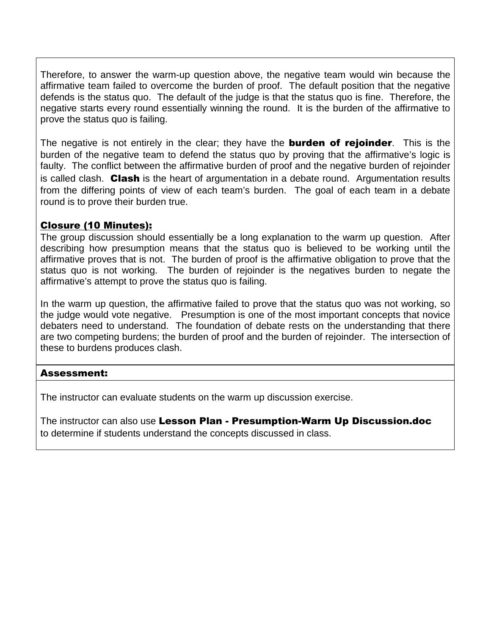Therefore, to answer the warm-up question above, the negative team would win because the affirmative team failed to overcome the burden of proof. The default position that the negative defends is the status quo. The default of the judge is that the status quo is fine. Therefore, the negative starts every round essentially winning the round. It is the burden of the affirmative to prove the status quo is failing.

The negative is not entirely in the clear; they have the **burden of rejoinder**. This is the burden of the negative team to defend the status quo by proving that the affirmative's logic is faulty. The conflict between the affirmative burden of proof and the negative burden of rejoinder is called clash. Clash is the heart of argumentation in a debate round. Argumentation results from the differing points of view of each team's burden. The goal of each team in a debate round is to prove their burden true.

## Closure (10 Minutes):

The group discussion should essentially be a long explanation to the warm up question. After describing how presumption means that the status quo is believed to be working until the affirmative proves that is not. The burden of proof is the affirmative obligation to prove that the status quo is not working. The burden of rejoinder is the negatives burden to negate the affirmative's attempt to prove the status quo is failing.

In the warm up question, the affirmative failed to prove that the status quo was not working, so the judge would vote negative. Presumption is one of the most important concepts that novice debaters need to understand. The foundation of debate rests on the understanding that there are two competing burdens; the burden of proof and the burden of rejoinder. The intersection of these to burdens produces clash.

## Assessment:

The instructor can evaluate students on the warm up discussion exercise.

The instructor can also use Lesson Plan - Presumption-Warm Up Discussion.doc to determine if students understand the concepts discussed in class.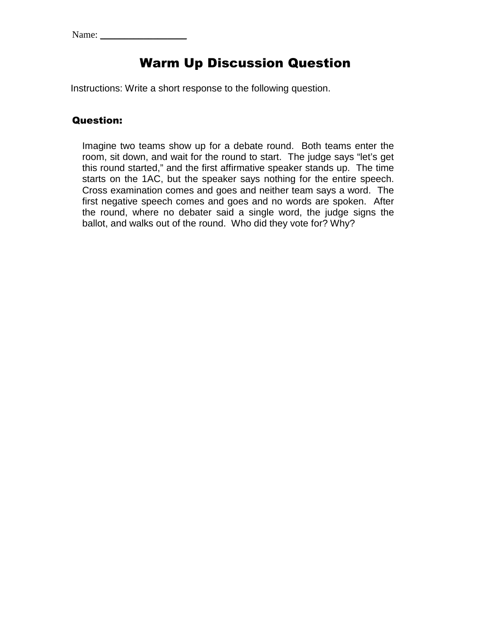## Warm Up Discussion Question

Instructions: Write a short response to the following question.

## Question:

Imagine two teams show up for a debate round. Both teams enter the room, sit down, and wait for the round to start. The judge says "let's get this round started," and the first affirmative speaker stands up. The time starts on the 1AC, but the speaker says nothing for the entire speech. Cross examination comes and goes and neither team says a word. The first negative speech comes and goes and no words are spoken. After the round, where no debater said a single word, the judge signs the ballot, and walks out of the round. Who did they vote for? Why?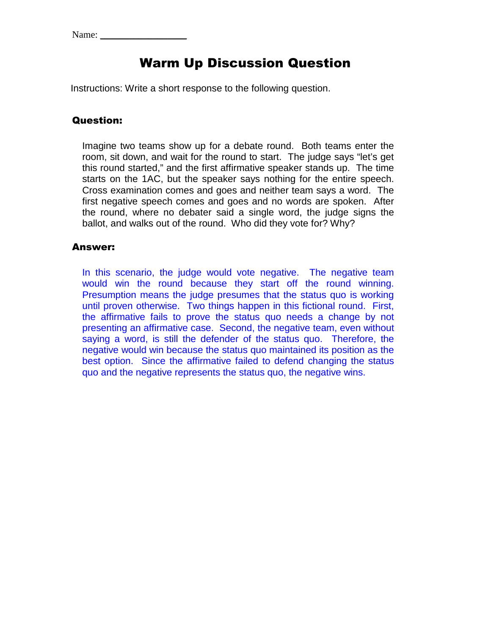## Warm Up Discussion Question

Instructions: Write a short response to the following question.

## Question:

Imagine two teams show up for a debate round. Both teams enter the room, sit down, and wait for the round to start. The judge says "let's get this round started," and the first affirmative speaker stands up. The time starts on the 1AC, but the speaker says nothing for the entire speech. Cross examination comes and goes and neither team says a word. The first negative speech comes and goes and no words are spoken. After the round, where no debater said a single word, the judge signs the ballot, and walks out of the round. Who did they vote for? Why?

#### Answer:

In this scenario, the judge would vote negative. The negative team would win the round because they start off the round winning. Presumption means the judge presumes that the status quo is working until proven otherwise. Two things happen in this fictional round. First, the affirmative fails to prove the status quo needs a change by not presenting an affirmative case. Second, the negative team, even without saying a word, is still the defender of the status quo. Therefore, the negative would win because the status quo maintained its position as the best option. Since the affirmative failed to defend changing the status quo and the negative represents the status quo, the negative wins.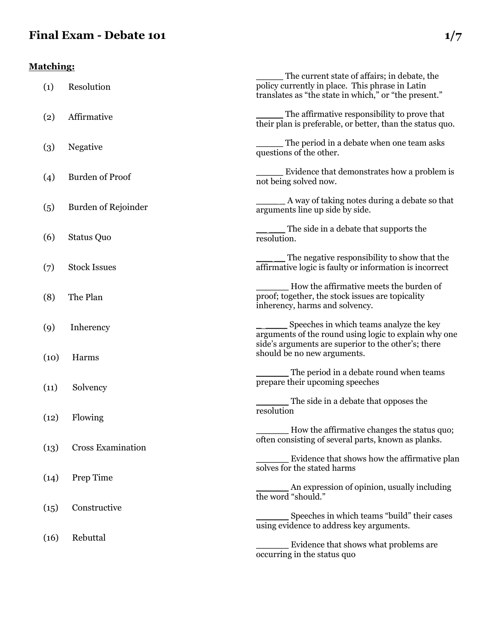## **Final Exam - Debate 101 1/7**

## **Matching:**

| (1)  | Resolution               | The current state of affairs; in debate, the<br>policy currently in place. This phrase in Latin<br>translates as "the state in which," or "the present." |
|------|--------------------------|----------------------------------------------------------------------------------------------------------------------------------------------------------|
| (2)  | Affirmative              | The affirmative responsibility to prove that<br>their plan is preferable, or better, than the status quo.                                                |
| (3)  | Negative                 | The period in a debate when one team asks<br>questions of the other.                                                                                     |
| (4)  | <b>Burden of Proof</b>   | Evidence that demonstrates how a problem is<br>not being solved now.                                                                                     |
| (5)  | Burden of Rejoinder      | A way of taking notes during a debate so that<br>arguments line up side by side.                                                                         |
| (6)  | <b>Status Quo</b>        | The side in a debate that supports the<br>resolution.                                                                                                    |
| (7)  | <b>Stock Issues</b>      | The negative responsibility to show that the<br>affirmative logic is faulty or information is incorrect                                                  |
| (8)  | The Plan                 | How the affirmative meets the burden of<br>proof; together, the stock issues are topicality<br>inherency, harms and solvency.                            |
| (9)  | Inherency                | Speeches in which teams analyze the key<br>arguments of the round using logic to explain why one<br>side's arguments are superior to the other's; there  |
| (10) | Harms                    | should be no new arguments.                                                                                                                              |
| (11) | Solvency                 | The period in a debate round when teams<br>prepare their upcoming speeches                                                                               |
| (12) | Flowing                  | The side in a debate that opposes the<br>resolution                                                                                                      |
|      |                          | How the affirmative changes the status quo;<br>often consisting of several parts, known as planks.                                                       |
| (13) | <b>Cross Examination</b> |                                                                                                                                                          |
| (14) | Prep Time                | Evidence that shows how the affirmative plan<br>solves for the stated harms                                                                              |
|      |                          | An expression of opinion, usually including<br>the word "should."                                                                                        |
| (15) | Constructive             | Speeches in which teams "build" their cases<br>using evidence to address key arguments.                                                                  |
| (16) | Rebuttal                 | Evidence that shows what problems are<br>occurring in the status quo                                                                                     |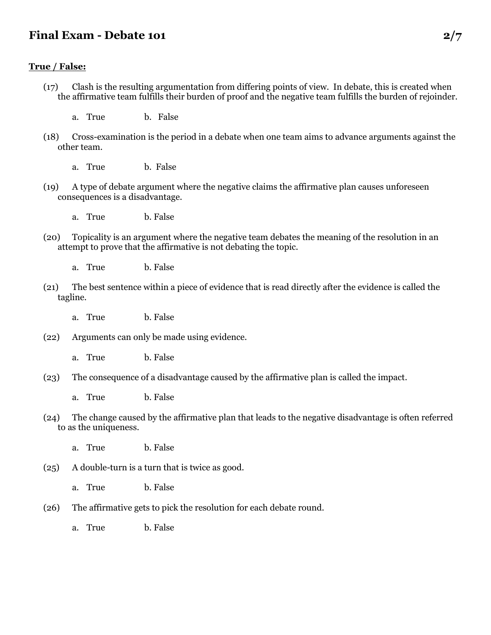## **Final Exam - Debate 101 2/7**

#### **True / False:**

- (17) Clash is the resulting argumentation from differing points of view. In debate, this is created when the affirmative team fulfills their burden of proof and the negative team fulfills the burden of rejoinder.
	- a. True b. False
- (18) Cross-examination is the period in a debate when one team aims to advance arguments against the other team.
	- a. True b. False
- (19) A type of debate argument where the negative claims the affirmative plan causes unforeseen consequences is a disadvantage.
	- a. True b. False
- (20) Topicality is an argument where the negative team debates the meaning of the resolution in an attempt to prove that the affirmative is not debating the topic.
	- a. True b. False
- (21) The best sentence within a piece of evidence that is read directly after the evidence is called the tagline.

a. True b. False

- (22) Arguments can only be made using evidence.
	- a. True b. False
- (23) The consequence of a disadvantage caused by the affirmative plan is called the impact.

a. True b. False

- (24) The change caused by the affirmative plan that leads to the negative disadvantage is often referred to as the uniqueness.
	- a. True b. False

(25) A double-turn is a turn that is twice as good.

- a. True b. False
- (26) The affirmative gets to pick the resolution for each debate round.
	- a. True b. False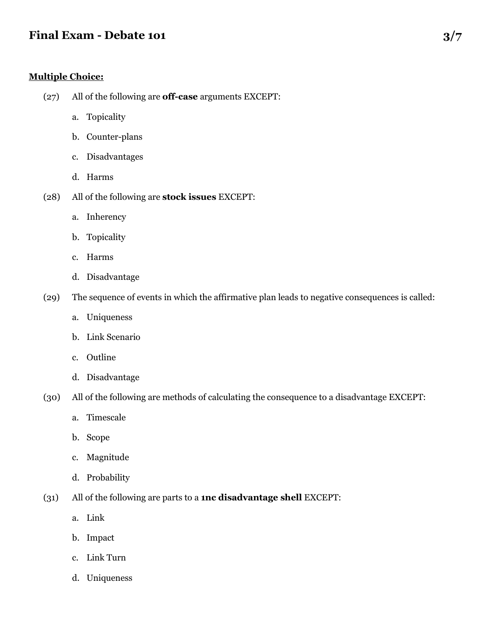## **Final Exam - Debate 101** 3/7

#### **Multiple Choice:**

- (27) All of the following are **off-case** arguments EXCEPT:
	- a. Topicality
	- b. Counter-plans
	- c. Disadvantages
	- d. Harms
- (28) All of the following are **stock issues** EXCEPT:
	- a. Inherency
	- b. Topicality
	- c. Harms
	- d. Disadvantage
- (29) The sequence of events in which the affirmative plan leads to negative consequences is called:
	- a. Uniqueness
	- b. Link Scenario
	- c. Outline
	- d. Disadvantage
- (30) All of the following are methods of calculating the consequence to a disadvantage EXCEPT:
	- a. Timescale
	- b. Scope
	- c. Magnitude
	- d. Probability
- (31) All of the following are parts to a **1nc disadvantage shell** EXCEPT:
	- a. Link
	- b. Impact
	- c. Link Turn
	- d. Uniqueness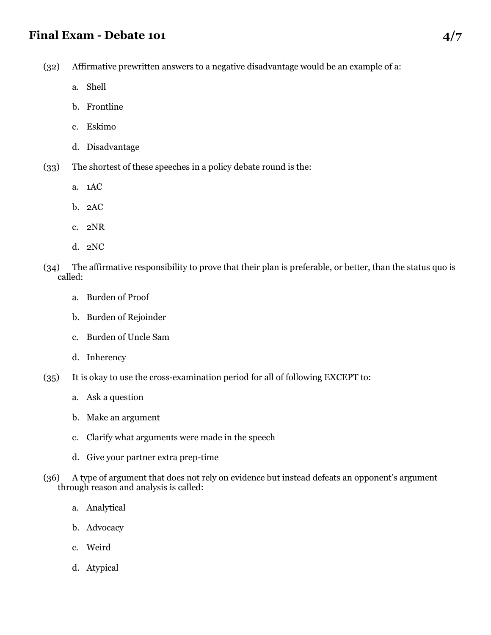## **Final Exam - Debate 101 4/7**

(32) Affirmative prewritten answers to a negative disadvantage would be an example of a:

- a. Shell
- b. Frontline
- c. Eskimo
- d. Disadvantage
- (33) The shortest of these speeches in a policy debate round is the:
	- a. 1AC
	- b. 2AC
	- c. 2NR
	- d. 2NC
- (34) The affirmative responsibility to prove that their plan is preferable, or better, than the status quo is called:
	- a. Burden of Proof
	- b. Burden of Rejoinder
	- c. Burden of Uncle Sam
	- d. Inherency
- (35) It is okay to use the cross-examination period for all of following EXCEPT to:
	- a. Ask a question
	- b. Make an argument
	- c. Clarify what arguments were made in the speech
	- d. Give your partner extra prep-time
- (36) A type of argument that does not rely on evidence but instead defeats an opponent's argument through reason and analysis is called:
	- a. Analytical
	- b. Advocacy
	- c. Weird
	- d. Atypical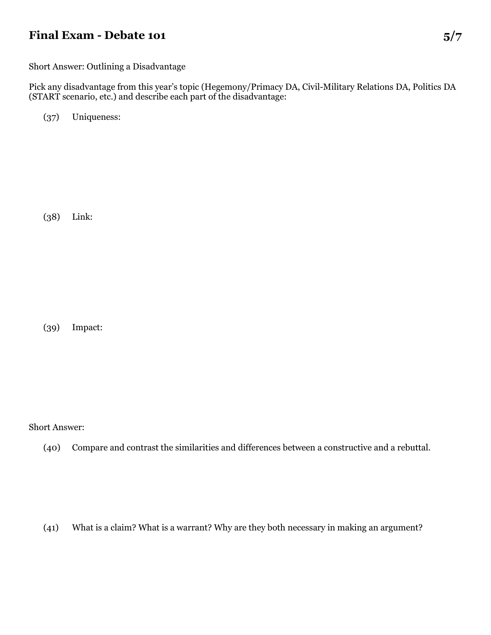## **Final Exam - Debate 101** 5/7

Short Answer: Outlining a Disadvantage

Pick any disadvantage from this year's topic (Hegemony/Primacy DA, Civil-Military Relations DA, Politics DA (START scenario, etc.) and describe each part of the disadvantage:

(37) Uniqueness:

(38) Link:

(39) Impact:

Short Answer:

(40) Compare and contrast the similarities and differences between a constructive and a rebuttal.

(41) What is a claim? What is a warrant? Why are they both necessary in making an argument?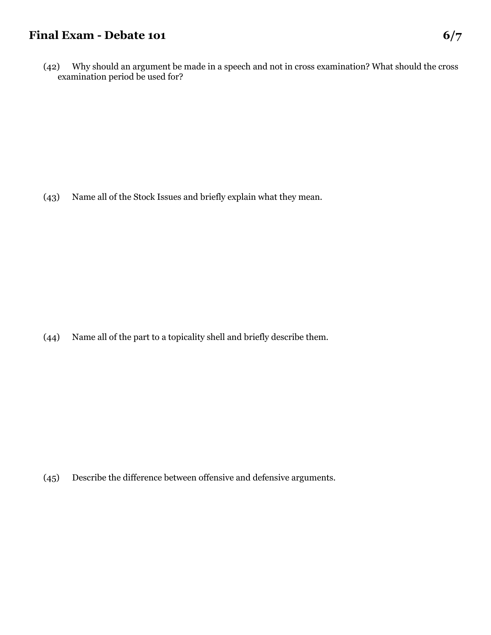## **Final Exam - Debate 101 6/7**

(42) Why should an argument be made in a speech and not in cross examination? What should the cross examination period be used for?

(43) Name all of the Stock Issues and briefly explain what they mean.

(44) Name all of the part to a topicality shell and briefly describe them.

(45) Describe the difference between offensive and defensive arguments.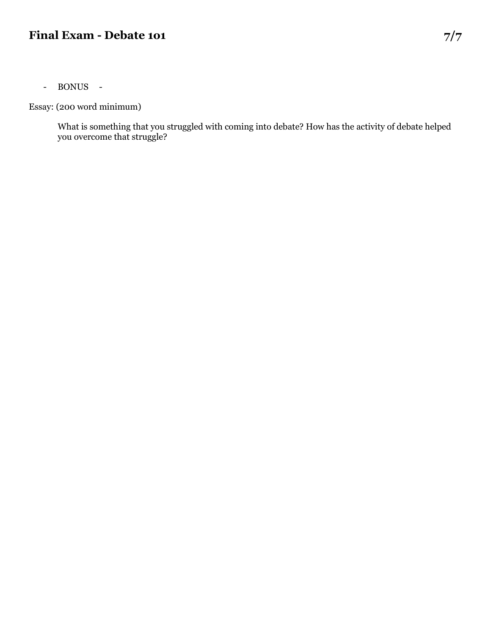## **Final Exam - Debate 101 7/7**

- BONUS -

Essay: (200 word minimum)

What is something that you struggled with coming into debate? How has the activity of debate helped you overcome that struggle?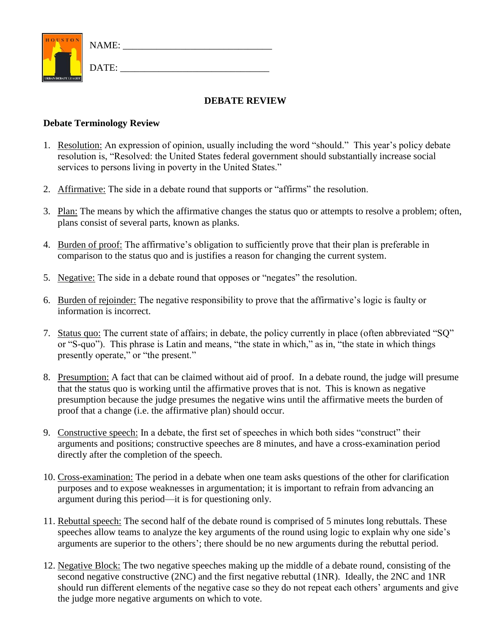

**DEBATE REVIEW**

#### **Debate Terminology Review**

- 1. Resolution: An expression of opinion, usually including the word "should." This year's policy debate resolution is, "Resolved: the United States federal government should substantially increase social services to persons living in poverty in the United States."
- 2. Affirmative: The side in a debate round that supports or "affirms" the resolution.
- 3. Plan: The means by which the affirmative changes the status quo or attempts to resolve a problem; often, plans consist of several parts, known as planks.
- 4. Burden of proof: The affirmative's obligation to sufficiently prove that their plan is preferable in comparison to the status quo and is justifies a reason for changing the current system.
- 5. Negative: The side in a debate round that opposes or "negates" the resolution.
- 6. Burden of rejoinder: The negative responsibility to prove that the affirmative's logic is faulty or information is incorrect.
- 7. Status quo: The current state of affairs; in debate, the policy currently in place (often abbreviated "SQ" or "S-quo"). This phrase is Latin and means, "the state in which," as in, "the state in which things presently operate," or "the present."
- 8. Presumption: A fact that can be claimed without aid of proof. In a debate round, the judge will presume that the status quo is working until the affirmative proves that is not. This is known as negative presumption because the judge presumes the negative wins until the affirmative meets the burden of proof that a change (i.e. the affirmative plan) should occur.
- 9. Constructive speech: In a debate, the first set of speeches in which both sides "construct" their arguments and positions; constructive speeches are 8 minutes, and have a cross-examination period directly after the completion of the speech.
- 10. Cross-examination: The period in a debate when one team asks questions of the other for clarification purposes and to expose weaknesses in argumentation; it is important to refrain from advancing an argument during this period—it is for questioning only.
- 11. Rebuttal speech: The second half of the debate round is comprised of 5 minutes long rebuttals. These speeches allow teams to analyze the key arguments of the round using logic to explain why one side's arguments are superior to the others'; there should be no new arguments during the rebuttal period.
- 12. Negative Block: The two negative speeches making up the middle of a debate round, consisting of the second negative constructive (2NC) and the first negative rebuttal (1NR). Ideally, the 2NC and 1NR should run different elements of the negative case so they do not repeat each others' arguments and give the judge more negative arguments on which to vote.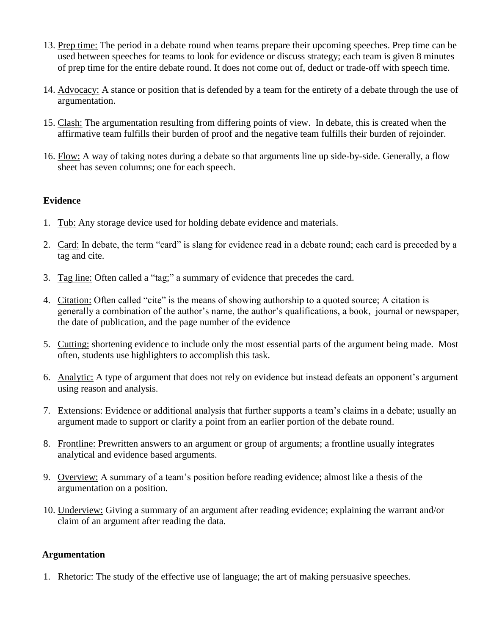- 13. Prep time: The period in a debate round when teams prepare their upcoming speeches. Prep time can be used between speeches for teams to look for evidence or discuss strategy; each team is given 8 minutes of prep time for the entire debate round. It does not come out of, deduct or trade-off with speech time.
- 14. Advocacy: A stance or position that is defended by a team for the entirety of a debate through the use of argumentation.
- 15. Clash: The argumentation resulting from differing points of view. In debate, this is created when the affirmative team fulfills their burden of proof and the negative team fulfills their burden of rejoinder.
- 16. Flow: A way of taking notes during a debate so that arguments line up side-by-side. Generally, a flow sheet has seven columns; one for each speech.

## **Evidence**

- 1. Tub: Any storage device used for holding debate evidence and materials.
- 2. Card: In debate, the term "card" is slang for evidence read in a debate round; each card is preceded by a tag and cite.
- 3. Tag line: Often called a "tag;" a summary of evidence that precedes the card.
- 4. Citation: Often called "cite" is the means of showing authorship to a quoted source; A citation is generally a combination of the author's name, the author's qualifications, a book, journal or newspaper, the date of publication, and the page number of the evidence
- 5. Cutting: shortening evidence to include only the most essential parts of the argument being made. Most often, students use highlighters to accomplish this task.
- 6. Analytic: A type of argument that does not rely on evidence but instead defeats an opponent's argument using reason and analysis.
- 7. Extensions: Evidence or additional analysis that further supports a team's claims in a debate; usually an argument made to support or clarify a point from an earlier portion of the debate round.
- 8. Frontline: Prewritten answers to an argument or group of arguments; a frontline usually integrates analytical and evidence based arguments.
- 9. Overview: A summary of a team's position before reading evidence; almost like a thesis of the argumentation on a position.
- 10. Underview: Giving a summary of an argument after reading evidence; explaining the warrant and/or claim of an argument after reading the data.

#### **Argumentation**

1. Rhetoric: The study of the effective use of language; the art of making persuasive speeches.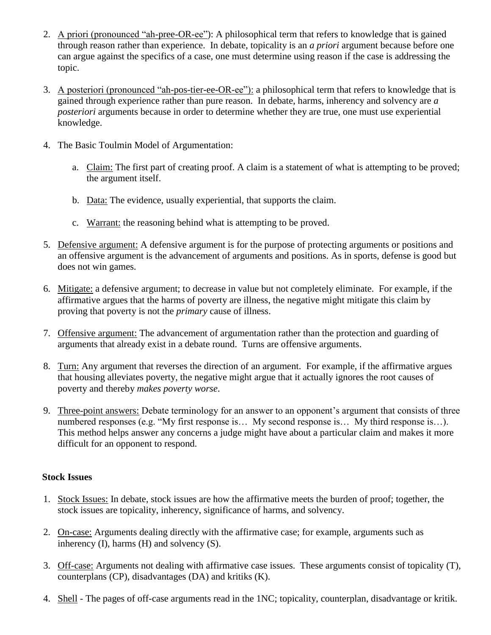- 2. A priori (pronounced "ah-pree-OR-ee"): A philosophical term that refers to knowledge that is gained through reason rather than experience. In debate, topicality is an *a priori* argument because before one can argue against the specifics of a case, one must determine using reason if the case is addressing the topic.
- 3. A posteriori (pronounced "ah-pos-tier-ee-OR-ee"): a philosophical term that refers to knowledge that is gained through experience rather than pure reason. In debate, harms, inherency and solvency are *a posteriori* arguments because in order to determine whether they are true, one must use experiential knowledge.
- 4. The Basic Toulmin Model of Argumentation:
	- a. Claim: The first part of creating proof. A claim is a statement of what is attempting to be proved; the argument itself.
	- b. Data: The evidence, usually experiential, that supports the claim.
	- c. Warrant: the reasoning behind what is attempting to be proved.
- 5. Defensive argument: A defensive argument is for the purpose of protecting arguments or positions and an offensive argument is the advancement of arguments and positions. As in sports, defense is good but does not win games.
- 6. Mitigate: a defensive argument; to decrease in value but not completely eliminate. For example, if the affirmative argues that the harms of poverty are illness, the negative might mitigate this claim by proving that poverty is not the *primary* cause of illness.
- 7. Offensive argument: The advancement of argumentation rather than the protection and guarding of arguments that already exist in a debate round. Turns are offensive arguments.
- 8. Turn: Any argument that reverses the direction of an argument. For example, if the affirmative argues that housing alleviates poverty, the negative might argue that it actually ignores the root causes of poverty and thereby *makes poverty worse*.
- 9. Three-point answers: Debate terminology for an answer to an opponent's argument that consists of three numbered responses (e.g. "My first response is... My second response is... My third response is...). This method helps answer any concerns a judge might have about a particular claim and makes it more difficult for an opponent to respond.

## **Stock Issues**

- 1. Stock Issues: In debate, stock issues are how the affirmative meets the burden of proof; together, the stock issues are topicality, inherency, significance of harms, and solvency.
- 2. On-case: Arguments dealing directly with the affirmative case; for example, arguments such as inherency (I), harms (H) and solvency (S).
- 3. Off-case: Arguments not dealing with affirmative case issues. These arguments consist of topicality (T), counterplans (CP), disadvantages (DA) and kritiks (K).
- 4. Shell The pages of off-case arguments read in the 1NC; topicality, counterplan, disadvantage or kritik.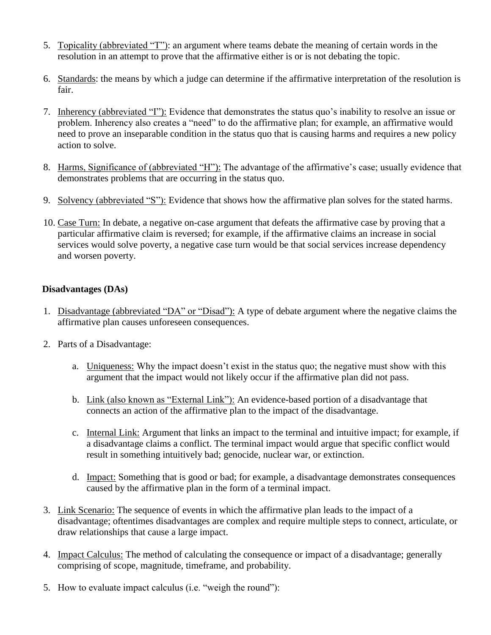- 5. Topicality (abbreviated "T"): an argument where teams debate the meaning of certain words in the resolution in an attempt to prove that the affirmative either is or is not debating the topic.
- 6. Standards: the means by which a judge can determine if the affirmative interpretation of the resolution is fair.
- 7. Inherency (abbreviated "I"): Evidence that demonstrates the status quo's inability to resolve an issue or problem. Inherency also creates a "need" to do the affirmative plan; for example, an affirmative would need to prove an inseparable condition in the status quo that is causing harms and requires a new policy action to solve.
- 8. Harms, Significance of (abbreviated "H"): The advantage of the affirmative's case; usually evidence that demonstrates problems that are occurring in the status quo.
- 9. Solvency (abbreviated "S"): Evidence that shows how the affirmative plan solves for the stated harms.
- 10. Case Turn: In debate, a negative on-case argument that defeats the affirmative case by proving that a particular affirmative claim is reversed; for example, if the affirmative claims an increase in social services would solve poverty, a negative case turn would be that social services increase dependency and worsen poverty.

## **Disadvantages (DAs)**

- 1. Disadvantage (abbreviated "DA" or "Disad"): A type of debate argument where the negative claims the affirmative plan causes unforeseen consequences.
- 2. Parts of a Disadvantage:
	- a. Uniqueness: Why the impact doesn't exist in the status quo; the negative must show with this argument that the impact would not likely occur if the affirmative plan did not pass.
	- b. Link (also known as "External Link"): An evidence-based portion of a disadvantage that connects an action of the affirmative plan to the impact of the disadvantage.
	- c. Internal Link: Argument that links an impact to the terminal and intuitive impact; for example, if a disadvantage claims a conflict. The terminal impact would argue that specific conflict would result in something intuitively bad; genocide, nuclear war, or extinction.
	- d. Impact: Something that is good or bad; for example, a disadvantage demonstrates consequences caused by the affirmative plan in the form of a terminal impact.
- 3. Link Scenario: The sequence of events in which the affirmative plan leads to the impact of a disadvantage; oftentimes disadvantages are complex and require multiple steps to connect, articulate, or draw relationships that cause a large impact.
- 4. Impact Calculus: The method of calculating the consequence or impact of a disadvantage; generally comprising of scope, magnitude, timeframe, and probability.
- 5. How to evaluate impact calculus (i.e. "weigh the round"):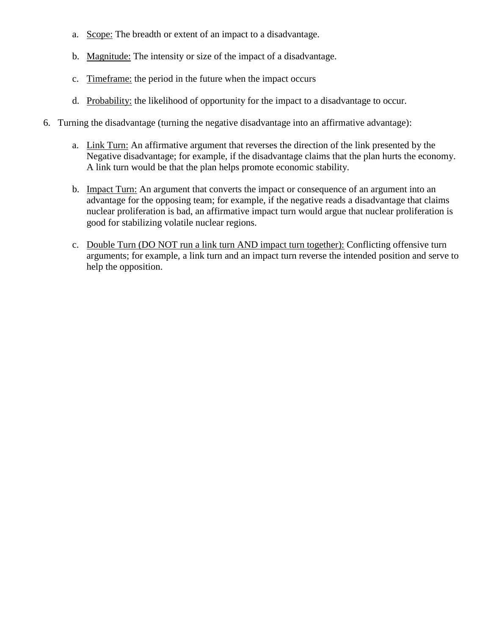- a. Scope: The breadth or extent of an impact to a disadvantage.
- b. Magnitude: The intensity or size of the impact of a disadvantage.
- c. Timeframe: the period in the future when the impact occurs
- d. Probability: the likelihood of opportunity for the impact to a disadvantage to occur.
- 6. Turning the disadvantage (turning the negative disadvantage into an affirmative advantage):
	- a. Link Turn: An affirmative argument that reverses the direction of the link presented by the Negative disadvantage; for example, if the disadvantage claims that the plan hurts the economy. A link turn would be that the plan helps promote economic stability.
	- b. Impact Turn: An argument that converts the impact or consequence of an argument into an advantage for the opposing team; for example, if the negative reads a disadvantage that claims nuclear proliferation is bad, an affirmative impact turn would argue that nuclear proliferation is good for stabilizing volatile nuclear regions.
	- c. Double Turn (DO NOT run a link turn AND impact turn together): Conflicting offensive turn arguments; for example, a link turn and an impact turn reverse the intended position and serve to help the opposition.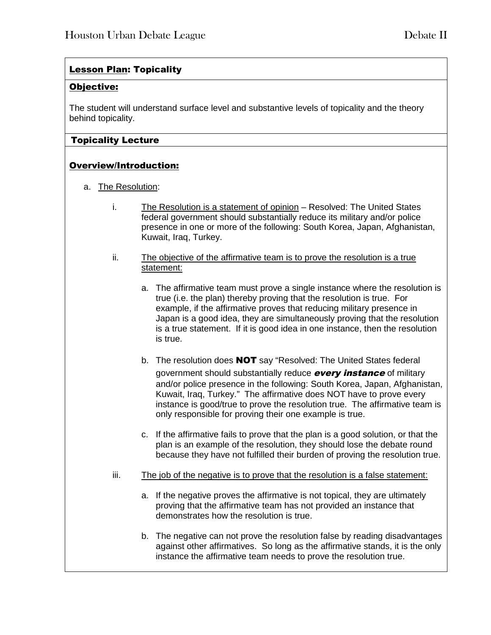## Lesson Plan: Topicality

## Objective:

The student will understand surface level and substantive levels of topicality and the theory behind topicality.

## Topicality Lecture

## Overview/Introduction:

- a. The Resolution:
	- i. The Resolution is a statement of opinion Resolved: The United States federal government should substantially reduce its military and/or police presence in one or more of the following: South Korea, Japan, Afghanistan, Kuwait, Iraq, Turkey.
	- ii. The objective of the affirmative team is to prove the resolution is a true statement:
		- a. The affirmative team must prove a single instance where the resolution is true (i.e. the plan) thereby proving that the resolution is true. For example, if the affirmative proves that reducing military presence in Japan is a good idea, they are simultaneously proving that the resolution is a true statement. If it is good idea in one instance, then the resolution is true.
		- b. The resolution does **NOT** say "Resolved: The United States federal government should substantially reduce **every instance** of military and/or police presence in the following: South Korea, Japan, Afghanistan, Kuwait, Iraq, Turkey." The affirmative does NOT have to prove every instance is good/true to prove the resolution true. The affirmative team is only responsible for proving their one example is true.
		- c. If the affirmative fails to prove that the plan is a good solution, or that the plan is an example of the resolution, they should lose the debate round because they have not fulfilled their burden of proving the resolution true.
	- iii. The job of the negative is to prove that the resolution is a false statement:
		- a. If the negative proves the affirmative is not topical, they are ultimately proving that the affirmative team has not provided an instance that demonstrates how the resolution is true.
		- b. The negative can not prove the resolution false by reading disadvantages against other affirmatives. So long as the affirmative stands, it is the only instance the affirmative team needs to prove the resolution true.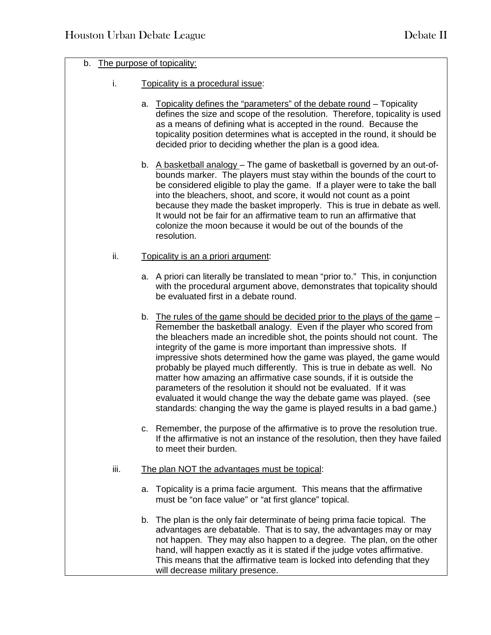## b. The purpose of topicality:

- i. Topicality is a procedural issue:
	- a. Topicality defines the "parameters" of the debate round Topicality defines the size and scope of the resolution. Therefore, topicality is used as a means of defining what is accepted in the round. Because the topicality position determines what is accepted in the round, it should be decided prior to deciding whether the plan is a good idea.
	- b. A basketball analogy The game of basketball is governed by an out-ofbounds marker. The players must stay within the bounds of the court to be considered eligible to play the game. If a player were to take the ball into the bleachers, shoot, and score, it would not count as a point because they made the basket improperly. This is true in debate as well. It would not be fair for an affirmative team to run an affirmative that colonize the moon because it would be out of the bounds of the resolution.

#### ii. Topicality is an a priori argument:

- a. A priori can literally be translated to mean "prior to." This, in conjunction with the procedural argument above, demonstrates that topicality should be evaluated first in a debate round.
- b. The rules of the game should be decided prior to the plays of the game Remember the basketball analogy. Even if the player who scored from the bleachers made an incredible shot, the points should not count. The integrity of the game is more important than impressive shots. If impressive shots determined how the game was played, the game would probably be played much differently. This is true in debate as well. No matter how amazing an affirmative case sounds, if it is outside the parameters of the resolution it should not be evaluated. If it was evaluated it would change the way the debate game was played. (see standards: changing the way the game is played results in a bad game.)
- c. Remember, the purpose of the affirmative is to prove the resolution true. If the affirmative is not an instance of the resolution, then they have failed to meet their burden.
- iii. The plan NOT the advantages must be topical:
	- a. Topicality is a prima facie argument. This means that the affirmative must be "on face value" or "at first glance" topical.
	- b. The plan is the only fair determinate of being prima facie topical. The advantages are debatable. That is to say, the advantages may or may not happen. They may also happen to a degree. The plan, on the other hand, will happen exactly as it is stated if the judge votes affirmative. This means that the affirmative team is locked into defending that they will decrease military presence.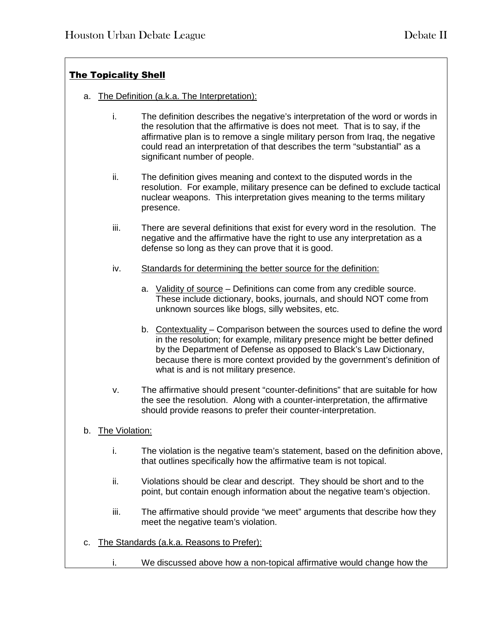## The Topicality Shell

- a. The Definition (a.k.a. The Interpretation):
	- i. The definition describes the negative's interpretation of the word or words in the resolution that the affirmative is does not meet. That is to say, if the affirmative plan is to remove a single military person from Iraq, the negative could read an interpretation of that describes the term "substantial" as a significant number of people.
	- ii. The definition gives meaning and context to the disputed words in the resolution. For example, military presence can be defined to exclude tactical nuclear weapons. This interpretation gives meaning to the terms military presence.
	- iii. There are several definitions that exist for every word in the resolution. The negative and the affirmative have the right to use any interpretation as a defense so long as they can prove that it is good.
	- iv. Standards for determining the better source for the definition:
		- a. Validity of source Definitions can come from any credible source. These include dictionary, books, journals, and should NOT come from unknown sources like blogs, silly websites, etc.
		- b. Contextuality Comparison between the sources used to define the word in the resolution; for example, military presence might be better defined by the Department of Defense as opposed to Black's Law Dictionary, because there is more context provided by the government's definition of what is and is not military presence.
	- v. The affirmative should present "counter-definitions" that are suitable for how the see the resolution. Along with a counter-interpretation, the affirmative should provide reasons to prefer their counter-interpretation.
- b. The Violation:
	- i. The violation is the negative team's statement, based on the definition above, that outlines specifically how the affirmative team is not topical.
	- ii. Violations should be clear and descript. They should be short and to the point, but contain enough information about the negative team's objection.
	- iii. The affirmative should provide "we meet" arguments that describe how they meet the negative team's violation.
- c. The Standards (a.k.a. Reasons to Prefer):
	- i. We discussed above how a non-topical affirmative would change how the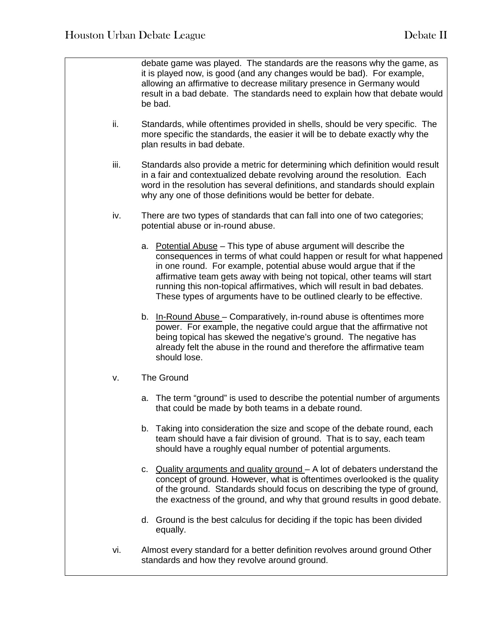debate game was played. The standards are the reasons why the game, as it is played now, is good (and any changes would be bad). For example, allowing an affirmative to decrease military presence in Germany would result in a bad debate. The standards need to explain how that debate would be bad. ii. Standards, while oftentimes provided in shells, should be very specific. The more specific the standards, the easier it will be to debate exactly why the plan results in bad debate. iii. Standards also provide a metric for determining which definition would result in a fair and contextualized debate revolving around the resolution. Each word in the resolution has several definitions, and standards should explain why any one of those definitions would be better for debate. iv. There are two types of standards that can fall into one of two categories; potential abuse or in-round abuse. a. Potential Abuse – This type of abuse argument will describe the consequences in terms of what could happen or result for what happened in one round. For example, potential abuse would argue that if the affirmative team gets away with being not topical, other teams will start running this non-topical affirmatives, which will result in bad debates. These types of arguments have to be outlined clearly to be effective. b. In-Round Abuse – Comparatively, in-round abuse is oftentimes more power. For example, the negative could argue that the affirmative not being topical has skewed the negative's ground. The negative has already felt the abuse in the round and therefore the affirmative team should lose. v. The Ground a. The term "ground" is used to describe the potential number of arguments that could be made by both teams in a debate round. b. Taking into consideration the size and scope of the debate round, each team should have a fair division of ground. That is to say, each team should have a roughly equal number of potential arguments. c. Quality arguments and quality ground – A lot of debaters understand the concept of ground. However, what is oftentimes overlooked is the quality of the ground. Standards should focus on describing the type of ground, the exactness of the ground, and why that ground results in good debate. d. Ground is the best calculus for deciding if the topic has been divided equally. vi. Almost every standard for a better definition revolves around ground Other standards and how they revolve around ground.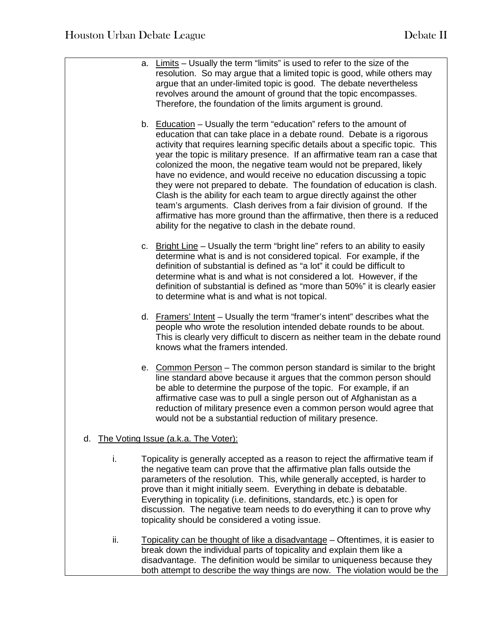|     | a. Limits - Usually the term "limits" is used to refer to the size of the<br>resolution. So may argue that a limited topic is good, while others may<br>argue that an under-limited topic is good. The debate nevertheless<br>revolves around the amount of ground that the topic encompasses.<br>Therefore, the foundation of the limits argument is ground.                                                                                                                                                                                                                                                                                                                                                                                                                                                                    |
|-----|----------------------------------------------------------------------------------------------------------------------------------------------------------------------------------------------------------------------------------------------------------------------------------------------------------------------------------------------------------------------------------------------------------------------------------------------------------------------------------------------------------------------------------------------------------------------------------------------------------------------------------------------------------------------------------------------------------------------------------------------------------------------------------------------------------------------------------|
|     | b. Education - Usually the term "education" refers to the amount of<br>education that can take place in a debate round. Debate is a rigorous<br>activity that requires learning specific details about a specific topic. This<br>year the topic is military presence. If an affirmative team ran a case that<br>colonized the moon, the negative team would not be prepared, likely<br>have no evidence, and would receive no education discussing a topic<br>they were not prepared to debate. The foundation of education is clash.<br>Clash is the ability for each team to argue directly against the other<br>team's arguments. Clash derives from a fair division of ground. If the<br>affirmative has more ground than the affirmative, then there is a reduced<br>ability for the negative to clash in the debate round. |
|     | c. Bright Line – Usually the term "bright line" refers to an ability to easily<br>determine what is and is not considered topical. For example, if the<br>definition of substantial is defined as "a lot" it could be difficult to<br>determine what is and what is not considered a lot. However, if the<br>definition of substantial is defined as "more than 50%" it is clearly easier<br>to determine what is and what is not topical.                                                                                                                                                                                                                                                                                                                                                                                       |
|     | d. Framers' Intent - Usually the term "framer's intent" describes what the<br>people who wrote the resolution intended debate rounds to be about.<br>This is clearly very difficult to discern as neither team in the debate round<br>knows what the framers intended.                                                                                                                                                                                                                                                                                                                                                                                                                                                                                                                                                           |
|     | e. Common Person - The common person standard is similar to the bright<br>line standard above because it argues that the common person should<br>be able to determine the purpose of the topic. For example, if an<br>affirmative case was to pull a single person out of Afghanistan as a<br>reduction of military presence even a common person would agree that<br>would not be a substantial reduction of military presence.                                                                                                                                                                                                                                                                                                                                                                                                 |
| d.  | The Voting Issue (a.k.a. The Voter):                                                                                                                                                                                                                                                                                                                                                                                                                                                                                                                                                                                                                                                                                                                                                                                             |
| i.  | Topicality is generally accepted as a reason to reject the affirmative team if<br>the negative team can prove that the affirmative plan falls outside the<br>parameters of the resolution. This, while generally accepted, is harder to<br>prove than it might initially seem. Everything in debate is debatable.<br>Everything in topicality (i.e. definitions, standards, etc.) is open for<br>discussion. The negative team needs to do everything it can to prove why<br>topicality should be considered a voting issue.                                                                                                                                                                                                                                                                                                     |
| ii. | Topicality can be thought of like a disadvantage – Oftentimes, it is easier to<br>break down the individual parts of topicality and explain them like a<br>disadvantage. The definition would be similar to uniqueness because they<br>both attempt to describe the way things are now. The violation would be the                                                                                                                                                                                                                                                                                                                                                                                                                                                                                                               |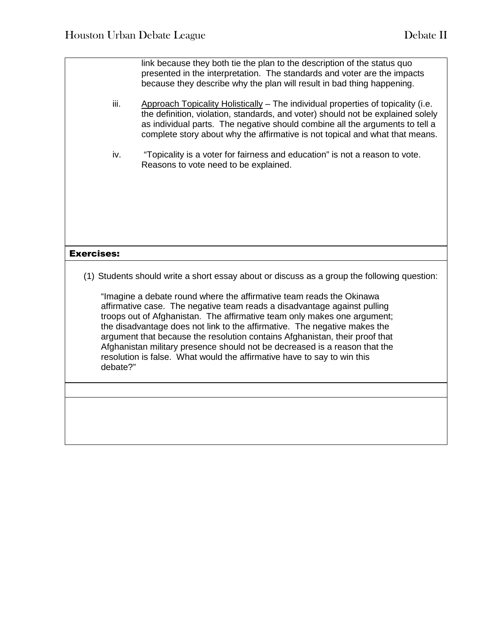link because they both tie the plan to the description of the status quo presented in the interpretation. The standards and voter are the impacts because they describe why the plan will result in bad thing happening. iii. Approach Topicality Holistically – The individual properties of topicality (i.e. the definition, violation, standards, and voter) should not be explained solely as individual parts. The negative should combine all the arguments to tell a complete story about why the affirmative is not topical and what that means. iv. "Topicality is a voter for fairness and education" is not a reason to vote. Reasons to vote need to be explained. Exercises: (1) Students should write a short essay about or discuss as a group the following question: "Imagine a debate round where the affirmative team reads the Okinawa affirmative case. The negative team reads a disadvantage against pulling troops out of Afghanistan. The affirmative team only makes one argument; the disadvantage does not link to the affirmative. The negative makes the argument that because the resolution contains Afghanistan, their proof that Afghanistan military presence should not be decreased is a reason that the resolution is false. What would the affirmative have to say to win this debate?"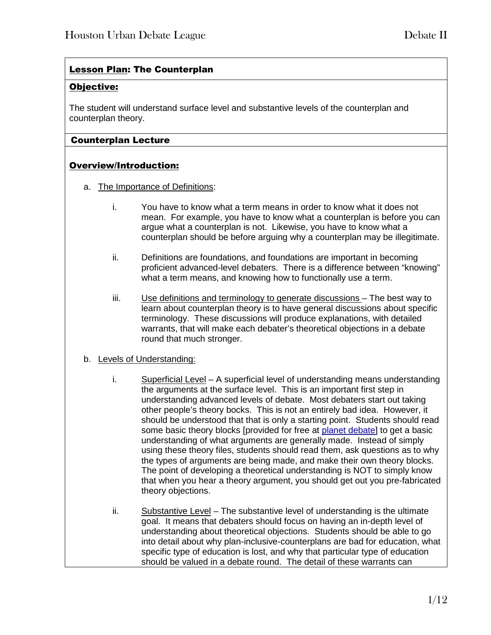## Lesson Plan: The Counterplan

## Objective:

The student will understand surface level and substantive levels of the counterplan and counterplan theory.

## Counterplan Lecture

## Overview/Introduction:

- a. The Importance of Definitions:
	- i. You have to know what a term means in order to know what it does not mean. For example, you have to know what a counterplan is before you can argue what a counterplan is not. Likewise, you have to know what a counterplan should be before arguing why a counterplan may be illegitimate.
	- ii. Definitions are foundations, and foundations are important in becoming proficient advanced-level debaters. There is a difference between "knowing" what a term means, and knowing how to functionally use a term.
	- iii. Use definitions and terminology to generate discussions The best way to learn about counterplan theory is to have general discussions about specific terminology. These discussions will produce explanations, with detailed warrants, that will make each debater's theoretical objections in a debate round that much stronger.
- b. Levels of Understanding:
	- i. Superficial Level A superficial level of understanding means understanding the arguments at the surface level. This is an important first step in understanding advanced levels of debate. Most debaters start out taking other people's theory bocks. This is not an entirely bad idea. However, it should be understood that that is only a starting point. Students should read some basic theory blocks [provided for free at planet debate] to get a basic understanding of what arguments are generally made. Instead of simply using these theory files, students should read them, ask questions as to why the types of arguments are being made, and make their own theory blocks. The point of developing a theoretical understanding is NOT to simply know that when you hear a theory argument, you should get out you pre-fabricated theory objections.
	- ii. Substantive Level The substantive level of understanding is the ultimate goal. It means that debaters should focus on having an in-depth level of understanding about theoretical objections. Students should be able to go into detail about why plan-inclusive-counterplans are bad for education, what specific type of education is lost, and why that particular type of education should be valued in a debate round. The detail of these warrants can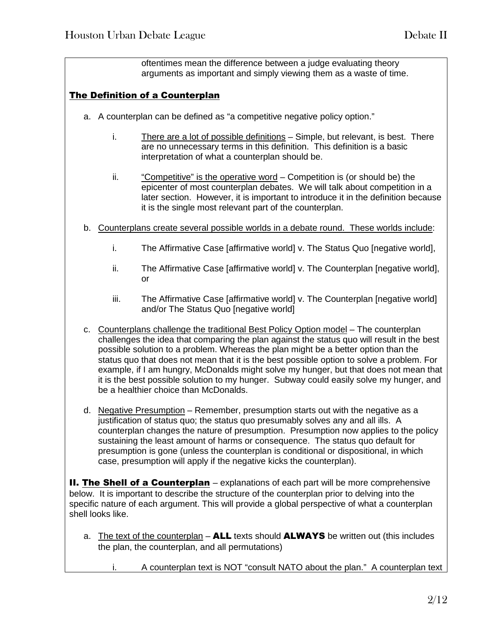oftentimes mean the difference between a judge evaluating theory arguments as important and simply viewing them as a waste of time.

## The Definition of a Counterplan

- a. A counterplan can be defined as "a competitive negative policy option."
	- i. There are a lot of possible definitions Simple, but relevant, is best. There are no unnecessary terms in this definition. This definition is a basic interpretation of what a counterplan should be.
	- ii. "Competitive" is the operative word Competition is (or should be) the epicenter of most counterplan debates. We will talk about competition in a later section. However, it is important to introduce it in the definition because it is the single most relevant part of the counterplan.
- b. Counterplans create several possible worlds in a debate round. These worlds include:
	- i. The Affirmative Case [affirmative world] v. The Status Quo [negative world],
	- ii. The Affirmative Case [affirmative world] v. The Counterplan [negative world], or
	- iii. The Affirmative Case [affirmative world] v. The Counterplan [negative world] and/or The Status Quo [negative world]
- c. Counterplans challenge the traditional Best Policy Option model The counterplan challenges the idea that comparing the plan against the status quo will result in the best possible solution to a problem. Whereas the plan might be a better option than the status quo that does not mean that it is the best possible option to solve a problem. For example, if I am hungry, McDonalds might solve my hunger, but that does not mean that it is the best possible solution to my hunger. Subway could easily solve my hunger, and be a healthier choice than McDonalds.
- d. Negative Presumption Remember, presumption starts out with the negative as a justification of status quo; the status quo presumably solves any and all ills. A counterplan changes the nature of presumption. Presumption now applies to the policy sustaining the least amount of harms or consequence. The status quo default for presumption is gone (unless the counterplan is conditional or dispositional, in which case, presumption will apply if the negative kicks the counterplan).

**II. The Shell of a Counterplan** – explanations of each part will be more comprehensive below. It is important to describe the structure of the counterplan prior to delving into the specific nature of each argument. This will provide a global perspective of what a counterplan shell looks like.

- a. The text of the counterplan ALL texts should ALWAYS be written out (this includes the plan, the counterplan, and all permutations)
	- i. A counterplan text is NOT "consult NATO about the plan." A counterplan text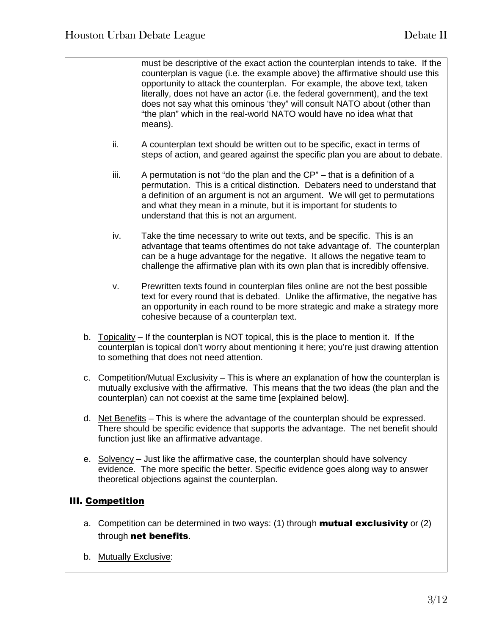must be descriptive of the exact action the counterplan intends to take. If the counterplan is vague (i.e. the example above) the affirmative should use this opportunity to attack the counterplan. For example, the above text, taken literally, does not have an actor (i.e. the federal government), and the text does not say what this ominous 'they" will consult NATO about (other than "the plan" which in the real-world NATO would have no idea what that means).

- ii. A counterplan text should be written out to be specific, exact in terms of steps of action, and geared against the specific plan you are about to debate.
- iii. A permutation is not "do the plan and the CP" that is a definition of a permutation. This is a critical distinction. Debaters need to understand that a definition of an argument is not an argument. We will get to permutations and what they mean in a minute, but it is important for students to understand that this is not an argument.
- iv. Take the time necessary to write out texts, and be specific. This is an advantage that teams oftentimes do not take advantage of. The counterplan can be a huge advantage for the negative. It allows the negative team to challenge the affirmative plan with its own plan that is incredibly offensive.
- v. Prewritten texts found in counterplan files online are not the best possible text for every round that is debated. Unlike the affirmative, the negative has an opportunity in each round to be more strategic and make a strategy more cohesive because of a counterplan text.
- b. Topicality If the counterplan is NOT topical, this is the place to mention it. If the counterplan is topical don't worry about mentioning it here; you're just drawing attention to something that does not need attention.
- c. Competition/Mutual Exclusivity This is where an explanation of how the counterplan is mutually exclusive with the affirmative. This means that the two ideas (the plan and the counterplan) can not coexist at the same time [explained below].
- d. Net Benefits This is where the advantage of the counterplan should be expressed. There should be specific evidence that supports the advantage. The net benefit should function just like an affirmative advantage.
- e. Solvency Just like the affirmative case, the counterplan should have solvency evidence. The more specific the better. Specific evidence goes along way to answer theoretical objections against the counterplan.

## III. Competition

- a. Competition can be determined in two ways: (1) through **mutual exclusivity** or (2) through net benefits.
- b. Mutually Exclusive: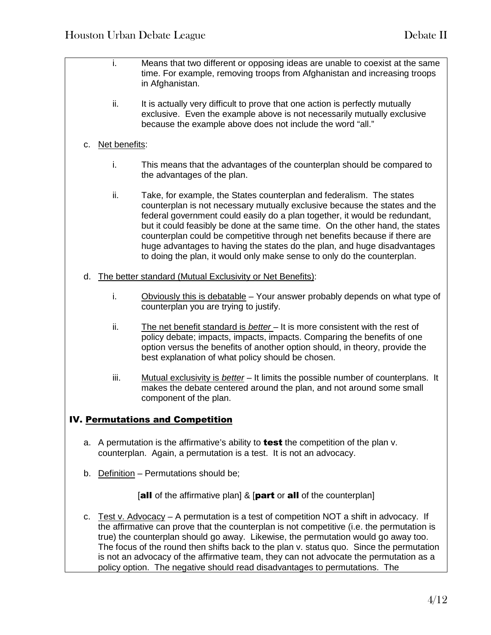- i. Means that two different or opposing ideas are unable to coexist at the same time. For example, removing troops from Afghanistan and increasing troops in Afghanistan. ii. It is actually very difficult to prove that one action is perfectly mutually exclusive. Even the example above is not necessarily mutually exclusive because the example above does not include the word "all." c. Net benefits: i. This means that the advantages of the counterplan should be compared to the advantages of the plan. ii. Take, for example, the States counterplan and federalism. The states counterplan is not necessary mutually exclusive because the states and the federal government could easily do a plan together, it would be redundant, but it could feasibly be done at the same time. On the other hand, the states counterplan could be competitive through net benefits because if there are huge advantages to having the states do the plan, and huge disadvantages to doing the plan, it would only make sense to only do the counterplan. d. The better standard (Mutual Exclusivity or Net Benefits): i. Obviously this is debatable – Your answer probably depends on what type of counterplan you are trying to justify. ii. The net benefit standard is *better* – It is more consistent with the rest of policy debate; impacts, impacts, impacts. Comparing the benefits of one option versus the benefits of another option should, in theory, provide the best explanation of what policy should be chosen. iii. Mutual exclusivity is *better* – It limits the possible number of counterplans. It makes the debate centered around the plan, and not around some small component of the plan. IV. Permutations and Competition a. A permutation is the affirmative's ability to **test** the competition of the plan  $v$ . counterplan. Again, a permutation is a test. It is not an advocacy. b. Definition – Permutations should be; [all of the affirmative plan] & [part or all of the counterplan] c. Test v. Advocacy – A permutation is a test of competition NOT a shift in advocacy. If
	- the affirmative can prove that the counterplan is not competitive (i.e. the permutation is true) the counterplan should go away. Likewise, the permutation would go away too. The focus of the round then shifts back to the plan v. status quo. Since the permutation is not an advocacy of the affirmative team, they can not advocate the permutation as a policy option. The negative should read disadvantages to permutations. The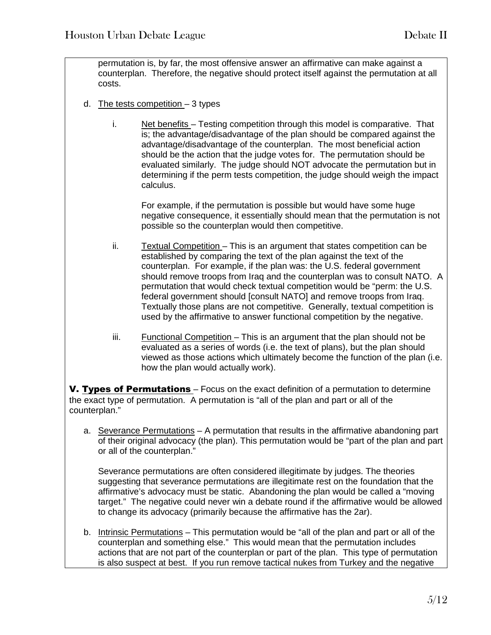permutation is, by far, the most offensive answer an affirmative can make against a counterplan. Therefore, the negative should protect itself against the permutation at all costs.

- d. The tests competition  $-3$  types
	- i. Net benefits Testing competition through this model is comparative. That is; the advantage/disadvantage of the plan should be compared against the advantage/disadvantage of the counterplan. The most beneficial action should be the action that the judge votes for. The permutation should be evaluated similarly. The judge should NOT advocate the permutation but in determining if the perm tests competition, the judge should weigh the impact calculus.

For example, if the permutation is possible but would have some huge negative consequence, it essentially should mean that the permutation is not possible so the counterplan would then competitive.

- ii. Textual Competition This is an argument that states competition can be established by comparing the text of the plan against the text of the counterplan. For example, if the plan was: the U.S. federal government should remove troops from Iraq and the counterplan was to consult NATO. A permutation that would check textual competition would be "perm: the U.S. federal government should [consult NATO] and remove troops from Iraq. Textually those plans are not competitive. Generally, textual competition is used by the affirmative to answer functional competition by the negative.
- iii. Functional Competition This is an argument that the plan should not be evaluated as a series of words (i.e. the text of plans), but the plan should viewed as those actions which ultimately become the function of the plan (i.e. how the plan would actually work).

V. Types of Permutations – Focus on the exact definition of a permutation to determine the exact type of permutation. A permutation is "all of the plan and part or all of the counterplan."

a. Severance Permutations – A permutation that results in the affirmative abandoning part of their original advocacy (the plan). This permutation would be "part of the plan and part or all of the counterplan."

Severance permutations are often considered illegitimate by judges. The theories suggesting that severance permutations are illegitimate rest on the foundation that the affirmative's advocacy must be static. Abandoning the plan would be called a "moving target." The negative could never win a debate round if the affirmative would be allowed to change its advocacy (primarily because the affirmative has the 2ar).

b. Intrinsic Permutations – This permutation would be "all of the plan and part or all of the counterplan and something else." This would mean that the permutation includes actions that are not part of the counterplan or part of the plan. This type of permutation is also suspect at best. If you run remove tactical nukes from Turkey and the negative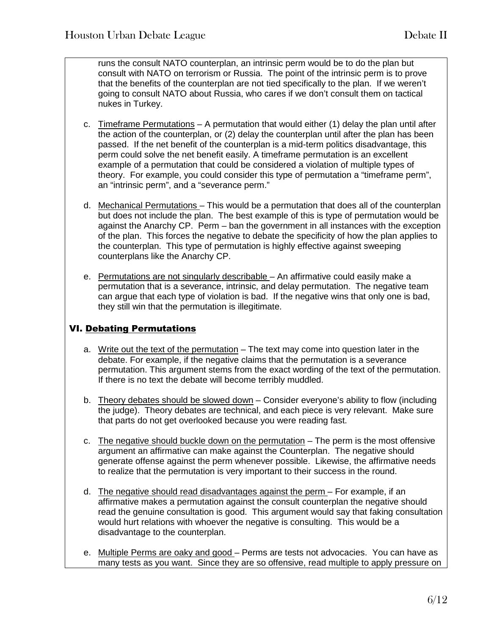runs the consult NATO counterplan, an intrinsic perm would be to do the plan but consult with NATO on terrorism or Russia. The point of the intrinsic perm is to prove that the benefits of the counterplan are not tied specifically to the plan. If we weren't going to consult NATO about Russia, who cares if we don't consult them on tactical nukes in Turkey.

- c. Timeframe Permutations A permutation that would either (1) delay the plan until after the action of the counterplan, or (2) delay the counterplan until after the plan has been passed. If the net benefit of the counterplan is a mid-term politics disadvantage, this perm could solve the net benefit easily. A timeframe permutation is an excellent example of a permutation that could be considered a violation of multiple types of theory. For example, you could consider this type of permutation a "timeframe perm", an "intrinsic perm", and a "severance perm."
- d. Mechanical Permutations This would be a permutation that does all of the counterplan but does not include the plan. The best example of this is type of permutation would be against the Anarchy CP. Perm – ban the government in all instances with the exception of the plan. This forces the negative to debate the specificity of how the plan applies to the counterplan. This type of permutation is highly effective against sweeping counterplans like the Anarchy CP.
- e. Permutations are not singularly describable An affirmative could easily make a permutation that is a severance, intrinsic, and delay permutation. The negative team can argue that each type of violation is bad. If the negative wins that only one is bad, they still win that the permutation is illegitimate.

## VI. Debating Permutations

- a. Write out the text of the permutation The text may come into question later in the debate. For example, if the negative claims that the permutation is a severance permutation. This argument stems from the exact wording of the text of the permutation. If there is no text the debate will become terribly muddled.
- b. Theory debates should be slowed down Consider everyone's ability to flow (including the judge). Theory debates are technical, and each piece is very relevant. Make sure that parts do not get overlooked because you were reading fast.
- c. The negative should buckle down on the permutation  $-$  The perm is the most offensive argument an affirmative can make against the Counterplan. The negative should generate offense against the perm whenever possible. Likewise, the affirmative needs to realize that the permutation is very important to their success in the round.
- d. The negative should read disadvantages against the perm For example, if an affirmative makes a permutation against the consult counterplan the negative should read the genuine consultation is good. This argument would say that faking consultation would hurt relations with whoever the negative is consulting. This would be a disadvantage to the counterplan.
- e. Multiple Perms are oaky and good Perms are tests not advocacies. You can have as many tests as you want. Since they are so offensive, read multiple to apply pressure on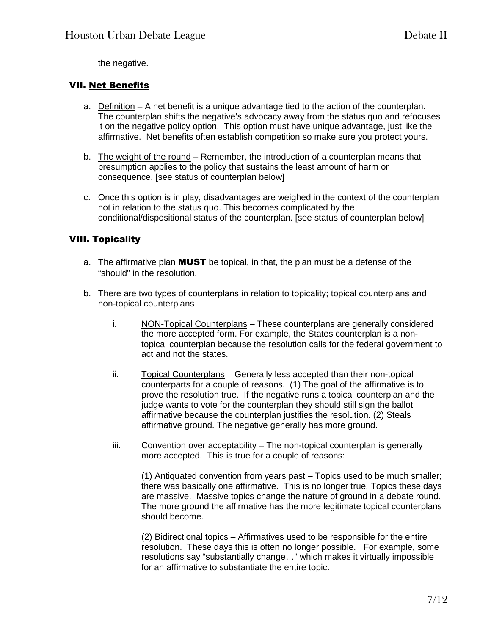the negative.

## VII. Net Benefits

- a. Definition A net benefit is a unique advantage tied to the action of the counterplan. The counterplan shifts the negative's advocacy away from the status quo and refocuses it on the negative policy option. This option must have unique advantage, just like the affirmative. Net benefits often establish competition so make sure you protect yours.
- b. The weight of the round Remember, the introduction of a counterplan means that presumption applies to the policy that sustains the least amount of harm or consequence. [see status of counterplan below]
- c. Once this option is in play, disadvantages are weighed in the context of the counterplan not in relation to the status quo. This becomes complicated by the conditional/dispositional status of the counterplan. [see status of counterplan below]

## VIII. Topicality

- a. The affirmative plan **MUST** be topical, in that, the plan must be a defense of the "should" in the resolution.
- b. There are two types of counterplans in relation to topicality; topical counterplans and non-topical counterplans
	- i. NON-Topical Counterplans These counterplans are generally considered the more accepted form. For example, the States counterplan is a nontopical counterplan because the resolution calls for the federal government to act and not the states.
	- ii. Topical Counterplans Generally less accepted than their non-topical counterparts for a couple of reasons. (1) The goal of the affirmative is to prove the resolution true. If the negative runs a topical counterplan and the judge wants to vote for the counterplan they should still sign the ballot affirmative because the counterplan justifies the resolution. (2) Steals affirmative ground. The negative generally has more ground.
	- iii. Convention over acceptability The non-topical counterplan is generally more accepted. This is true for a couple of reasons:

(1) Antiquated convention from years past – Topics used to be much smaller; there was basically one affirmative. This is no longer true. Topics these days are massive. Massive topics change the nature of ground in a debate round. The more ground the affirmative has the more legitimate topical counterplans should become.

(2) Bidirectional topics – Affirmatives used to be responsible for the entire resolution. These days this is often no longer possible. For example, some resolutions say "substantially change…" which makes it virtually impossible for an affirmative to substantiate the entire topic.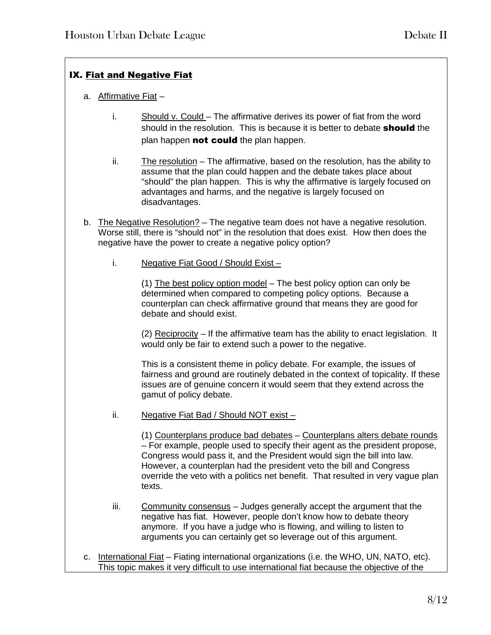## IX. Fiat and Negative Fiat

- a. Affirmative Fiat
	- i. Should v. Could The affirmative derives its power of fiat from the word should in the resolution. This is because it is better to debate **should** the plan happen not could the plan happen.
	- ii. The resolution The affirmative, based on the resolution, has the ability to assume that the plan could happen and the debate takes place about "should" the plan happen. This is why the affirmative is largely focused on advantages and harms, and the negative is largely focused on disadvantages.
- b. The Negative Resolution? The negative team does not have a negative resolution. Worse still, there is "should not" in the resolution that does exist. How then does the negative have the power to create a negative policy option?
	- i. Negative Fiat Good / Should Exist –

(1) The best policy option model – The best policy option can only be determined when compared to competing policy options. Because a counterplan can check affirmative ground that means they are good for debate and should exist.

(2) Reciprocity – If the affirmative team has the ability to enact legislation. It would only be fair to extend such a power to the negative.

This is a consistent theme in policy debate. For example, the issues of fairness and ground are routinely debated in the context of topicality. If these issues are of genuine concern it would seem that they extend across the gamut of policy debate.

ii. Negative Fiat Bad / Should NOT exist –

(1) Counterplans produce bad debates – Counterplans alters debate rounds – For example, people used to specify their agent as the president propose, Congress would pass it, and the President would sign the bill into law. However, a counterplan had the president veto the bill and Congress override the veto with a politics net benefit. That resulted in very vague plan texts.

- iii. Community consensus Judges generally accept the argument that the negative has fiat. However, people don't know how to debate theory anymore. If you have a judge who is flowing, and willing to listen to arguments you can certainly get so leverage out of this argument.
- c. International Fiat Fiating international organizations (i.e. the WHO, UN, NATO, etc). This topic makes it very difficult to use international fiat because the objective of the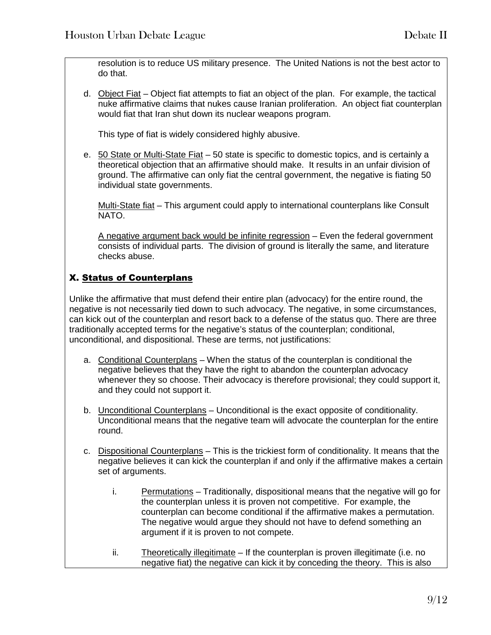resolution is to reduce US military presence. The United Nations is not the best actor to do that.

d. Object Fiat – Object fiat attempts to fiat an object of the plan. For example, the tactical nuke affirmative claims that nukes cause Iranian proliferation. An object fiat counterplan would fiat that Iran shut down its nuclear weapons program.

This type of fiat is widely considered highly abusive.

e. 50 State or Multi-State Fiat – 50 state is specific to domestic topics, and is certainly a theoretical objection that an affirmative should make. It results in an unfair division of ground. The affirmative can only fiat the central government, the negative is fiating 50 individual state governments.

Multi-State fiat – This argument could apply to international counterplans like Consult NATO.

A negative argument back would be infinite regression - Even the federal government consists of individual parts. The division of ground is literally the same, and literature checks abuse.

## X. Status of Counterplans

Unlike the affirmative that must defend their entire plan (advocacy) for the entire round, the negative is not necessarily tied down to such advocacy. The negative, in some circumstances, can kick out of the counterplan and resort back to a defense of the status quo. There are three traditionally accepted terms for the negative's status of the counterplan; conditional, unconditional, and dispositional. These are terms, not justifications:

- a. Conditional Counterplans When the status of the counterplan is conditional the negative believes that they have the right to abandon the counterplan advocacy whenever they so choose. Their advocacy is therefore provisional; they could support it, and they could not support it.
- b. Unconditional Counterplans Unconditional is the exact opposite of conditionality. Unconditional means that the negative team will advocate the counterplan for the entire round.
- c. Dispositional Counterplans This is the trickiest form of conditionality. It means that the negative believes it can kick the counterplan if and only if the affirmative makes a certain set of arguments.
	- i. Permutations Traditionally, dispositional means that the negative will go for the counterplan unless it is proven not competitive. For example, the counterplan can become conditional if the affirmative makes a permutation. The negative would argue they should not have to defend something an argument if it is proven to not compete.
	- ii. Theoretically illegitimate If the counterplan is proven illegitimate (i.e. no negative fiat) the negative can kick it by conceding the theory. This is also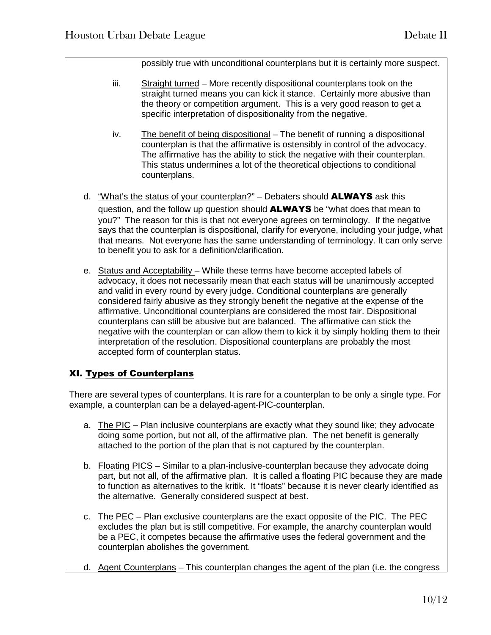possibly true with unconditional counterplans but it is certainly more suspect.

- iii. Straight turned More recently dispositional counterplans took on the straight turned means you can kick it stance. Certainly more abusive than the theory or competition argument. This is a very good reason to get a specific interpretation of dispositionality from the negative.
- iv. The benefit of being dispositional The benefit of running a dispositional counterplan is that the affirmative is ostensibly in control of the advocacy. The affirmative has the ability to stick the negative with their counterplan. This status undermines a lot of the theoretical objections to conditional counterplans.
- d. "What's the status of your counterplan?" Debaters should  $ALWAYS$  ask this question, and the follow up question should **ALWAYS** be "what does that mean to you?" The reason for this is that not everyone agrees on terminology. If the negative says that the counterplan is dispositional, clarify for everyone, including your judge, what that means. Not everyone has the same understanding of terminology. It can only serve to benefit you to ask for a definition/clarification.
- e. Status and Acceptability While these terms have become accepted labels of advocacy, it does not necessarily mean that each status will be unanimously accepted and valid in every round by every judge. Conditional counterplans are generally considered fairly abusive as they strongly benefit the negative at the expense of the affirmative. Unconditional counterplans are considered the most fair. Dispositional counterplans can still be abusive but are balanced. The affirmative can stick the negative with the counterplan or can allow them to kick it by simply holding them to their interpretation of the resolution. Dispositional counterplans are probably the most accepted form of counterplan status.

## XI. Types of Counterplans

There are several types of counterplans. It is rare for a counterplan to be only a single type. For example, a counterplan can be a delayed-agent-PIC-counterplan.

- a. The PIC Plan inclusive counterplans are exactly what they sound like; they advocate doing some portion, but not all, of the affirmative plan. The net benefit is generally attached to the portion of the plan that is not captured by the counterplan.
- b. Floating PICS Similar to a plan-inclusive-counterplan because they advocate doing part, but not all, of the affirmative plan. It is called a floating PIC because they are made to function as alternatives to the kritik. It "floats" because it is never clearly identified as the alternative. Generally considered suspect at best.
- c. The PEC Plan exclusive counterplans are the exact opposite of the PIC. The PEC excludes the plan but is still competitive. For example, the anarchy counterplan would be a PEC, it competes because the affirmative uses the federal government and the counterplan abolishes the government.
- d. Agent Counterplans This counterplan changes the agent of the plan (i.e. the congress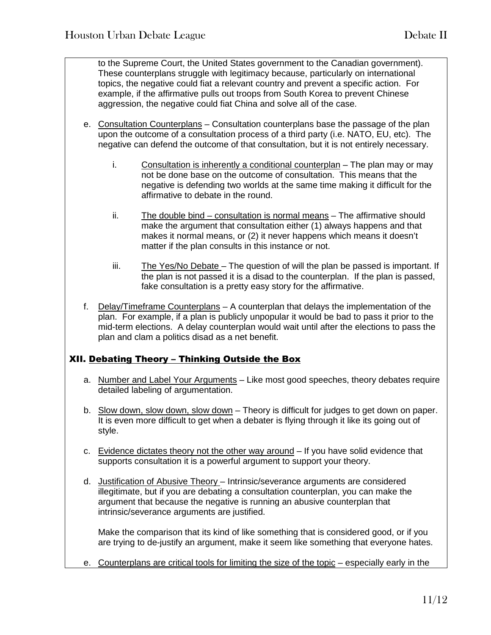to the Supreme Court, the United States government to the Canadian government). These counterplans struggle with legitimacy because, particularly on international topics, the negative could fiat a relevant country and prevent a specific action. For example, if the affirmative pulls out troops from South Korea to prevent Chinese aggression, the negative could fiat China and solve all of the case.

- e. Consultation Counterplans Consultation counterplans base the passage of the plan upon the outcome of a consultation process of a third party (i.e. NATO, EU, etc). The negative can defend the outcome of that consultation, but it is not entirely necessary.
	- i. Consultation is inherently a conditional counterplan The plan may or may not be done base on the outcome of consultation. This means that the negative is defending two worlds at the same time making it difficult for the affirmative to debate in the round.
	- ii. The double bind consultation is normal means The affirmative should make the argument that consultation either (1) always happens and that makes it normal means, or (2) it never happens which means it doesn't matter if the plan consults in this instance or not.
	- iii. The Yes/No Debate The question of will the plan be passed is important. If the plan is not passed it is a disad to the counterplan. If the plan is passed, fake consultation is a pretty easy story for the affirmative.
- f. Delay/Timeframe Counterplans A counterplan that delays the implementation of the plan. For example, if a plan is publicly unpopular it would be bad to pass it prior to the mid-term elections. A delay counterplan would wait until after the elections to pass the plan and clam a politics disad as a net benefit.

## XII. Debating Theory – Thinking Outside the Box

- a. Number and Label Your Arguments Like most good speeches, theory debates require detailed labeling of argumentation.
- b. Slow down, slow down, slow down Theory is difficult for judges to get down on paper. It is even more difficult to get when a debater is flying through it like its going out of style.
- c. Evidence dictates theory not the other way around If you have solid evidence that supports consultation it is a powerful argument to support your theory.
- d. Justification of Abusive Theory Intrinsic/severance arguments are considered illegitimate, but if you are debating a consultation counterplan, you can make the argument that because the negative is running an abusive counterplan that intrinsic/severance arguments are justified.

Make the comparison that its kind of like something that is considered good, or if you are trying to de-justify an argument, make it seem like something that everyone hates.

e. Counterplans are critical tools for limiting the size of the topic – especially early in the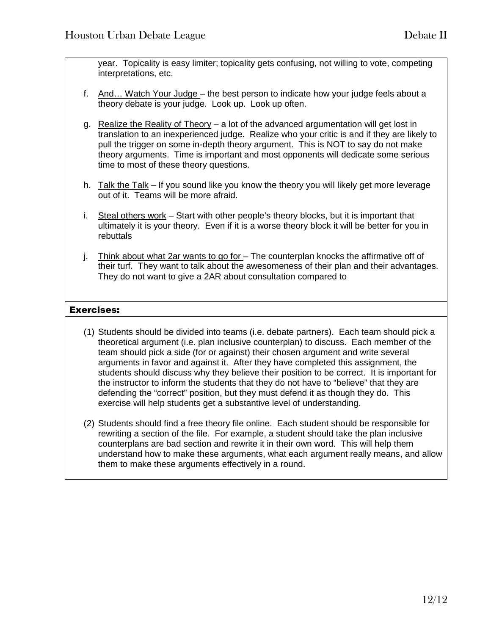year. Topicality is easy limiter; topicality gets confusing, not willing to vote, competing interpretations, etc.

- f. And… Watch Your Judge the best person to indicate how your judge feels about a theory debate is your judge. Look up. Look up often.
- g. Realize the Reality of Theory a lot of the advanced argumentation will get lost in translation to an inexperienced judge. Realize who your critic is and if they are likely to pull the trigger on some in-depth theory argument. This is NOT to say do not make theory arguments. Time is important and most opponents will dedicate some serious time to most of these theory questions.
- h. Talk the Talk If you sound like you know the theory you will likely get more leverage out of it. Teams will be more afraid.
- i. Steal others work Start with other people's theory blocks, but it is important that ultimately it is your theory. Even if it is a worse theory block it will be better for you in rebuttals
- j. Think about what 2ar wants to go for The counterplan knocks the affirmative off of their turf. They want to talk about the awesomeness of their plan and their advantages. They do not want to give a 2AR about consultation compared to

## Exercises:

- (1) Students should be divided into teams (i.e. debate partners). Each team should pick a theoretical argument (i.e. plan inclusive counterplan) to discuss. Each member of the team should pick a side (for or against) their chosen argument and write several arguments in favor and against it. After they have completed this assignment, the students should discuss why they believe their position to be correct. It is important for the instructor to inform the students that they do not have to "believe" that they are defending the "correct" position, but they must defend it as though they do. This exercise will help students get a substantive level of understanding.
- (2) Students should find a free theory file online. Each student should be responsible for rewriting a section of the file. For example, a student should take the plan inclusive counterplans are bad section and rewrite it in their own word. This will help them understand how to make these arguments, what each argument really means, and allow them to make these arguments effectively in a round.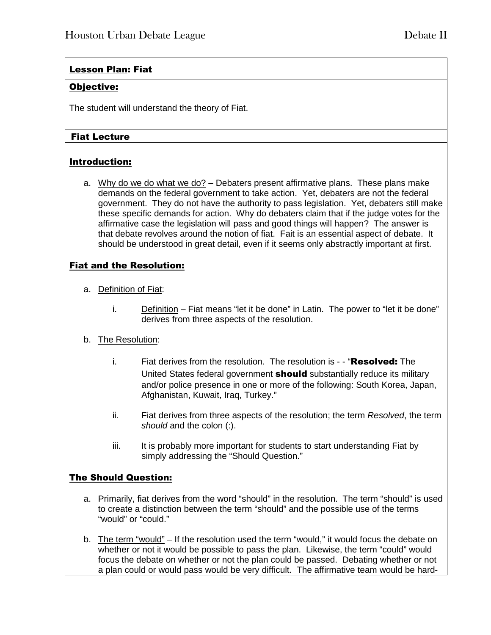## Lesson Plan: Fiat

## Objective:

The student will understand the theory of Fiat.

## Fiat Lecture

## Introduction:

a. Why do we do what we do? – Debaters present affirmative plans. These plans make demands on the federal government to take action. Yet, debaters are not the federal government. They do not have the authority to pass legislation. Yet, debaters still make these specific demands for action. Why do debaters claim that if the judge votes for the affirmative case the legislation will pass and good things will happen? The answer is that debate revolves around the notion of fiat. Fait is an essential aspect of debate. It should be understood in great detail, even if it seems only abstractly important at first.

## Fiat and the Resolution:

- a. Definition of Fiat:
	- i. Definition Fiat means "let it be done" in Latin. The power to "let it be done" derives from three aspects of the resolution.

## b. The Resolution:

- i. Fiat derives from the resolution. The resolution is - "**Resolved:** The United States federal government **should** substantially reduce its military and/or police presence in one or more of the following: South Korea, Japan, Afghanistan, Kuwait, Iraq, Turkey."
- ii. Fiat derives from three aspects of the resolution; the term *Resolved*, the term *should* and the colon (:).
- iii. It is probably more important for students to start understanding Fiat by simply addressing the "Should Question."

## The Should Question:

- a. Primarily, fiat derives from the word "should" in the resolution. The term "should" is used to create a distinction between the term "should" and the possible use of the terms "would" or "could."
- b. The term "would" If the resolution used the term "would," it would focus the debate on whether or not it would be possible to pass the plan. Likewise, the term "could" would focus the debate on whether or not the plan could be passed. Debating whether or not a plan could or would pass would be very difficult. The affirmative team would be hard-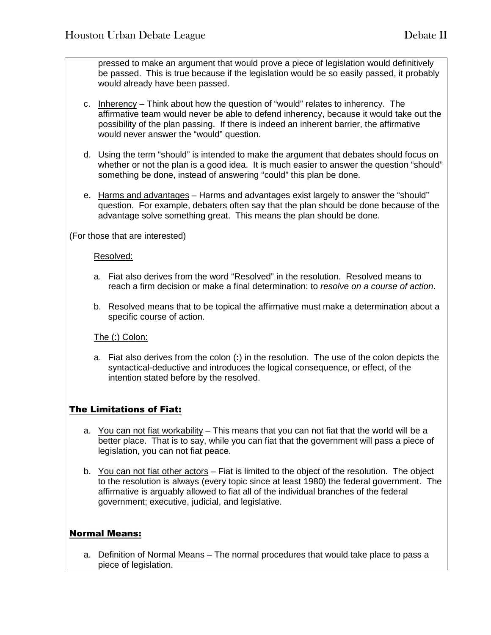pressed to make an argument that would prove a piece of legislation would definitively be passed. This is true because if the legislation would be so easily passed, it probably would already have been passed.

- c. Inherency Think about how the question of "would" relates to inherency. The affirmative team would never be able to defend inherency, because it would take out the possibility of the plan passing. If there is indeed an inherent barrier, the affirmative would never answer the "would" question.
- d. Using the term "should" is intended to make the argument that debates should focus on whether or not the plan is a good idea. It is much easier to answer the question "should" something be done, instead of answering "could" this plan be done.
- e. Harms and advantages Harms and advantages exist largely to answer the "should" question. For example, debaters often say that the plan should be done because of the advantage solve something great. This means the plan should be done.

(For those that are interested)

#### Resolved:

- a. Fiat also derives from the word "Resolved" in the resolution. Resolved means to reach a firm decision or make a final determination: to *resolve on a course of action*.
- b. Resolved means that to be topical the affirmative must make a determination about a specific course of action.

## The (:) Colon:

a. Fiat also derives from the colon (**:**) in the resolution. The use of the colon depicts the syntactical-deductive and introduces the logical consequence, or effect, of the intention stated before by the resolved.

## The Limitations of Fiat:

- a. You can not fiat workability This means that you can not fiat that the world will be a better place. That is to say, while you can fiat that the government will pass a piece of legislation, you can not fiat peace.
- b. You can not fiat other actors Fiat is limited to the object of the resolution. The object to the resolution is always (every topic since at least 1980) the federal government. The affirmative is arguably allowed to fiat all of the individual branches of the federal government; executive, judicial, and legislative.

## Normal Means:

a. Definition of Normal Means - The normal procedures that would take place to pass a piece of legislation.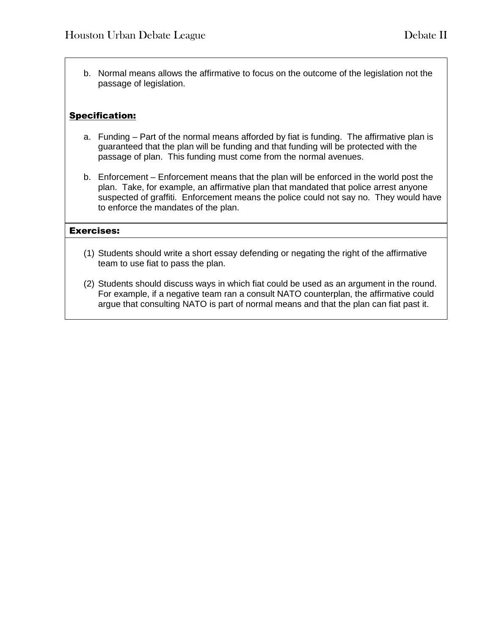b. Normal means allows the affirmative to focus on the outcome of the legislation not the passage of legislation.

## Specification:

- a. Funding Part of the normal means afforded by fiat is funding. The affirmative plan is guaranteed that the plan will be funding and that funding will be protected with the passage of plan. This funding must come from the normal avenues.
- b. Enforcement Enforcement means that the plan will be enforced in the world post the plan. Take, for example, an affirmative plan that mandated that police arrest anyone suspected of graffiti. Enforcement means the police could not say no. They would have to enforce the mandates of the plan.

#### Exercises:

- (1) Students should write a short essay defending or negating the right of the affirmative team to use fiat to pass the plan.
- (2) Students should discuss ways in which fiat could be used as an argument in the round. For example, if a negative team ran a consult NATO counterplan, the affirmative could argue that consulting NATO is part of normal means and that the plan can fiat past it.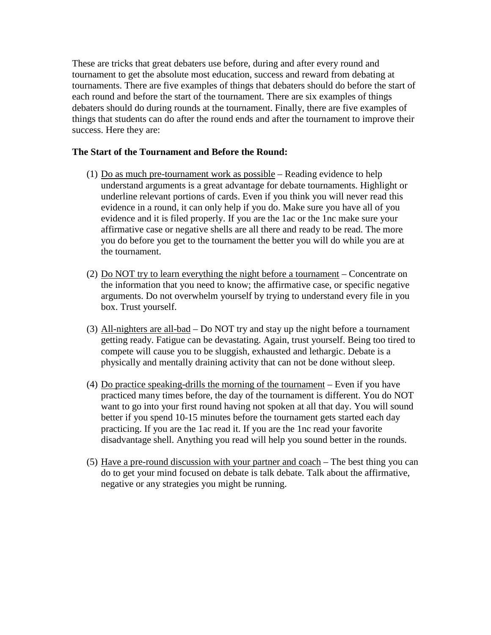These are tricks that great debaters use before, during and after every round and tournament to get the absolute most education, success and reward from debating at tournaments. There are five examples of things that debaters should do before the start of each round and before the start of the tournament. There are six examples of things debaters should do during rounds at the tournament. Finally, there are five examples of things that students can do after the round ends and after the tournament to improve their success. Here they are:

#### **The Start of the Tournament and Before the Round:**

- (1)  $Do$  as much pre-tournament work as possible Reading evidence to help understand arguments is a great advantage for debate tournaments. Highlight or underline relevant portions of cards. Even if you think you will never read this evidence in a round, it can only help if you do. Make sure you have all of you evidence and it is filed properly. If you are the 1ac or the 1nc make sure your affirmative case or negative shells are all there and ready to be read. The more you do before you get to the tournament the better you will do while you are at the tournament.
- (2) Do NOT try to learn everything the night before a tournament Concentrate on the information that you need to know; the affirmative case, or specific negative arguments. Do not overwhelm yourself by trying to understand every file in you box. Trust yourself.
- (3) All-nighters are all-bad Do NOT try and stay up the night before a tournament getting ready. Fatigue can be devastating. Again, trust yourself. Being too tired to compete will cause you to be sluggish, exhausted and lethargic. Debate is a physically and mentally draining activity that can not be done without sleep.
- (4) Do practice speaking-drills the morning of the tournament Even if you have practiced many times before, the day of the tournament is different. You do NOT want to go into your first round having not spoken at all that day. You will sound better if you spend 10-15 minutes before the tournament gets started each day practicing. If you are the 1ac read it. If you are the 1nc read your favorite disadvantage shell. Anything you read will help you sound better in the rounds.
- (5) Have a pre-round discussion with your partner and coach The best thing you can do to get your mind focused on debate is talk debate. Talk about the affirmative, negative or any strategies you might be running.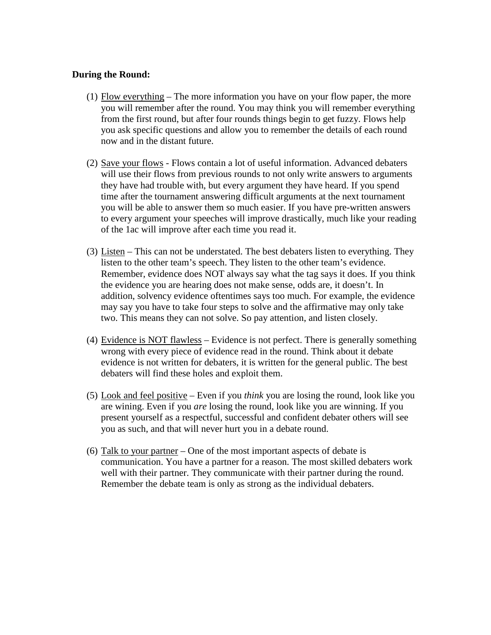#### **During the Round:**

- (1) Flow everything The more information you have on your flow paper, the more you will remember after the round. You may think you will remember everything from the first round, but after four rounds things begin to get fuzzy. Flows help you ask specific questions and allow you to remember the details of each round now and in the distant future.
- (2) Save your flows Flows contain a lot of useful information. Advanced debaters will use their flows from previous rounds to not only write answers to arguments they have had trouble with, but every argument they have heard. If you spend time after the tournament answering difficult arguments at the next tournament you will be able to answer them so much easier. If you have pre-written answers to every argument your speeches will improve drastically, much like your reading of the 1ac will improve after each time you read it.
- (3) Listen This can not be understated. The best debaters listen to everything. They listen to the other team's speech. They listen to the other team's evidence. Remember, evidence does NOT always say what the tag says it does. If you think the evidence you are hearing does not make sense, odds are, it doesn't. In addition, solvency evidence oftentimes says too much. For example, the evidence may say you have to take four steps to solve and the affirmative may only take two. This means they can not solve. So pay attention, and listen closely.
- (4) Evidence is NOT flawless Evidence is not perfect. There is generally something wrong with every piece of evidence read in the round. Think about it debate evidence is not written for debaters, it is written for the general public. The best debaters will find these holes and exploit them.
- (5) Look and feel positive Even if you *think* you are losing the round, look like you are wining. Even if you *are* losing the round, look like you are winning. If you present yourself as a respectful, successful and confident debater others will see you as such, and that will never hurt you in a debate round.
- (6) Talk to your partner One of the most important aspects of debate is communication. You have a partner for a reason. The most skilled debaters work well with their partner. They communicate with their partner during the round. Remember the debate team is only as strong as the individual debaters.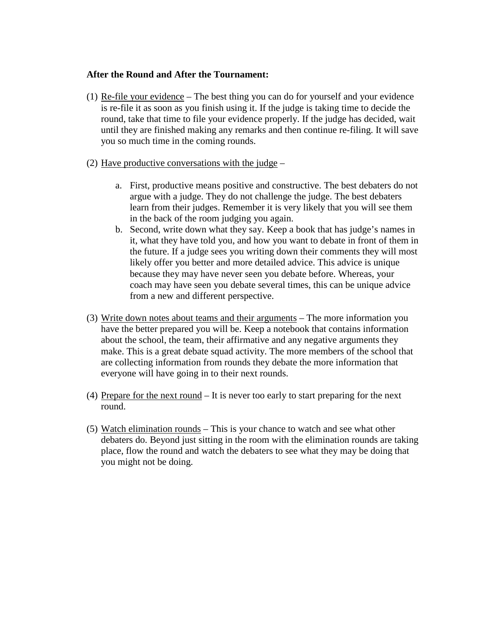#### **After the Round and After the Tournament:**

- (1) Re-file your evidence The best thing you can do for yourself and your evidence is re-file it as soon as you finish using it. If the judge is taking time to decide the round, take that time to file your evidence properly. If the judge has decided, wait until they are finished making any remarks and then continue re-filing. It will save you so much time in the coming rounds.
- (2) Have productive conversations with the judge
	- a. First, productive means positive and constructive. The best debaters do not argue with a judge. They do not challenge the judge. The best debaters learn from their judges. Remember it is very likely that you will see them in the back of the room judging you again.
	- b. Second, write down what they say. Keep a book that has judge's names in it, what they have told you, and how you want to debate in front of them in the future. If a judge sees you writing down their comments they will most likely offer you better and more detailed advice. This advice is unique because they may have never seen you debate before. Whereas, your coach may have seen you debate several times, this can be unique advice from a new and different perspective.
- (3) Write down notes about teams and their arguments The more information you have the better prepared you will be. Keep a notebook that contains information about the school, the team, their affirmative and any negative arguments they make. This is a great debate squad activity. The more members of the school that are collecting information from rounds they debate the more information that everyone will have going in to their next rounds.
- (4) Prepare for the next round It is never too early to start preparing for the next round.
- (5) Watch elimination rounds This is your chance to watch and see what other debaters do. Beyond just sitting in the room with the elimination rounds are taking place, flow the round and watch the debaters to see what they may be doing that you might not be doing.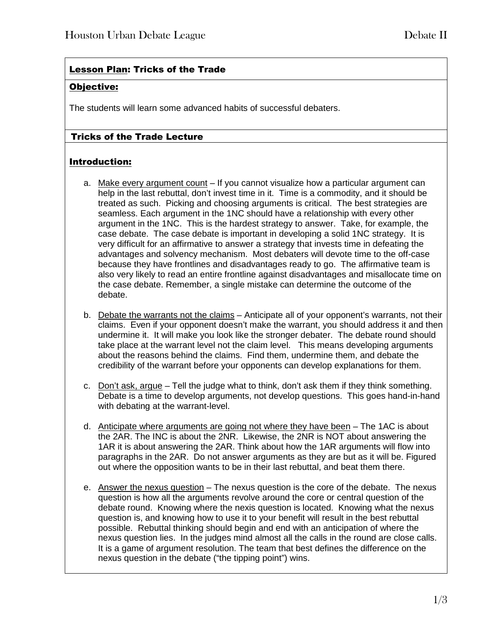## Lesson Plan: Tricks of the Trade

## Objective:

The students will learn some advanced habits of successful debaters.

## Tricks of the Trade Lecture

## Introduction:

- a. Make every argument count If you cannot visualize how a particular argument can help in the last rebuttal, don't invest time in it. Time is a commodity, and it should be treated as such. Picking and choosing arguments is critical. The best strategies are seamless. Each argument in the 1NC should have a relationship with every other argument in the 1NC. This is the hardest strategy to answer. Take, for example, the case debate. The case debate is important in developing a solid 1NC strategy. It is very difficult for an affirmative to answer a strategy that invests time in defeating the advantages and solvency mechanism. Most debaters will devote time to the off-case because they have frontlines and disadvantages ready to go. The affirmative team is also very likely to read an entire frontline against disadvantages and misallocate time on the case debate. Remember, a single mistake can determine the outcome of the debate.
- b. Debate the warrants not the claims Anticipate all of your opponent's warrants, not their claims. Even if your opponent doesn't make the warrant, you should address it and then undermine it. It will make you look like the stronger debater. The debate round should take place at the warrant level not the claim level. This means developing arguments about the reasons behind the claims. Find them, undermine them, and debate the credibility of the warrant before your opponents can develop explanations for them.
- c. Don't ask, argue Tell the judge what to think, don't ask them if they think something. Debate is a time to develop arguments, not develop questions. This goes hand-in-hand with debating at the warrant-level.
- d. Anticipate where arguments are going not where they have been The 1AC is about the 2AR. The INC is about the 2NR. Likewise, the 2NR is NOT about answering the 1AR it is about answering the 2AR. Think about how the 1AR arguments will flow into paragraphs in the 2AR. Do not answer arguments as they are but as it will be. Figured out where the opposition wants to be in their last rebuttal, and beat them there.
- e. Answer the nexus question The nexus question is the core of the debate. The nexus question is how all the arguments revolve around the core or central question of the debate round. Knowing where the nexis question is located. Knowing what the nexus question is, and knowing how to use it to your benefit will result in the best rebuttal possible. Rebuttal thinking should begin and end with an anticipation of where the nexus question lies. In the judges mind almost all the calls in the round are close calls. It is a game of argument resolution. The team that best defines the difference on the nexus question in the debate ("the tipping point") wins.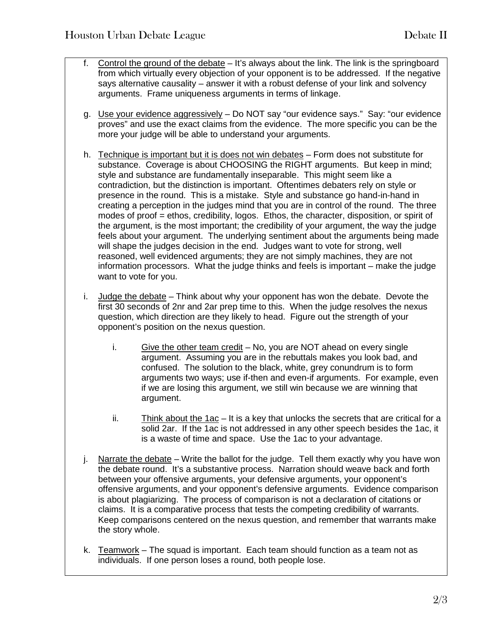- f. Control the ground of the debate It's always about the link. The link is the springboard from which virtually every objection of your opponent is to be addressed. If the negative says alternative causality – answer it with a robust defense of your link and solvency arguments. Frame uniqueness arguments in terms of linkage.
- g. Use your evidence aggressively Do NOT say "our evidence says." Say: "our evidence proves" and use the exact claims from the evidence. The more specific you can be the more your judge will be able to understand your arguments.
- h. Technique is important but it is does not win debates Form does not substitute for substance. Coverage is about CHOOSING the RIGHT arguments. But keep in mind; style and substance are fundamentally inseparable. This might seem like a contradiction, but the distinction is important. Oftentimes debaters rely on style or presence in the round. This is a mistake. Style and substance go hand-in-hand in creating a perception in the judges mind that you are in control of the round. The three modes of proof = ethos, credibility, logos. Ethos, the character, disposition, or spirit of the argument, is the most important; the credibility of your argument, the way the judge feels about your argument. The underlying sentiment about the arguments being made will shape the judges decision in the end. Judges want to vote for strong, well reasoned, well evidenced arguments; they are not simply machines, they are not information processors. What the judge thinks and feels is important – make the judge want to vote for you.
- i. Judge the debate Think about why your opponent has won the debate. Devote the first 30 seconds of 2nr and 2ar prep time to this. When the judge resolves the nexus question, which direction are they likely to head. Figure out the strength of your opponent's position on the nexus question.
	- i. Give the other team credit  $-$  No, you are NOT ahead on every single argument. Assuming you are in the rebuttals makes you look bad, and confused. The solution to the black, white, grey conundrum is to form arguments two ways; use if-then and even-if arguments. For example, even if we are losing this argument, we still win because we are winning that argument.
	- ii. Think about the 1ac It is a key that unlocks the secrets that are critical for a solid 2ar. If the 1ac is not addressed in any other speech besides the 1ac, it is a waste of time and space. Use the 1ac to your advantage.
- j. Narrate the debate  $-$  Write the ballot for the judge. Tell them exactly why you have won the debate round. It's a substantive process. Narration should weave back and forth between your offensive arguments, your defensive arguments, your opponent's offensive arguments, and your opponent's defensive arguments. Evidence comparison is about plagiarizing. The process of comparison is not a declaration of citations or claims. It is a comparative process that tests the competing credibility of warrants. Keep comparisons centered on the nexus question, and remember that warrants make the story whole.
- k. Teamwork The squad is important. Each team should function as a team not as individuals. If one person loses a round, both people lose.